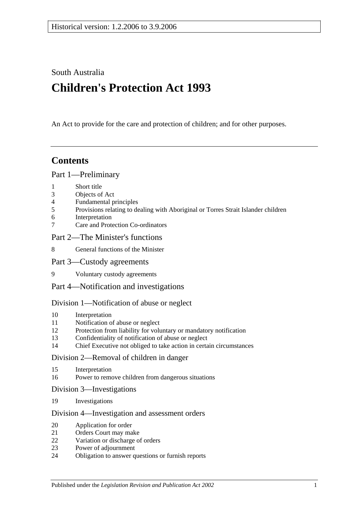South Australia

# **Children's Protection Act 1993**

An Act to provide for the care and protection of children; and for other purposes.

## **Contents**

#### [Part 1—Preliminary](#page-3-0)

- 1 [Short title](#page-3-1)
- 3 [Objects of Act](#page-3-2)
- 4 [Fundamental principles](#page-4-0)
- 5 [Provisions relating to dealing with Aboriginal or Torres Strait Islander children](#page-5-0)
- 6 [Interpretation](#page-6-0)
- 7 [Care and Protection Co-ordinators](#page-8-0)

#### [Part 2—The Minister's functions](#page-8-1)

8 [General functions of the Minister](#page-8-2)

#### [Part 3—Custody agreements](#page-9-0)

9 [Voluntary custody agreements](#page-9-1)

#### [Part 4—Notification and investigations](#page-10-0)

#### [Division 1—Notification of abuse or neglect](#page-10-1)

- 10 [Interpretation](#page-10-2)
- 11 [Notification of abuse or neglect](#page-11-0)
- 12 [Protection from liability for voluntary or mandatory notification](#page-11-1)
- 13 [Confidentiality of notification of abuse or neglect](#page-12-0)
- 14 [Chief Executive not obliged to take action in certain circumstances](#page-12-1)

## [Division 2—Removal of children in danger](#page-13-0)

- 15 [Interpretation](#page-13-1)
- 16 [Power to remove children from dangerous situations](#page-13-2)

#### [Division 3—Investigations](#page-14-0)

19 [Investigations](#page-14-1)

#### [Division 4—Investigation and assessment orders](#page-15-0)

- 20 [Application for order](#page-15-1)
- 21 [Orders Court may make](#page-16-0)<br>22 Variation or discharge of
- [Variation or discharge of orders](#page-16-1)
- 23 [Power of adjournment](#page-17-0)
- 24 [Obligation to answer questions or furnish reports](#page-17-1)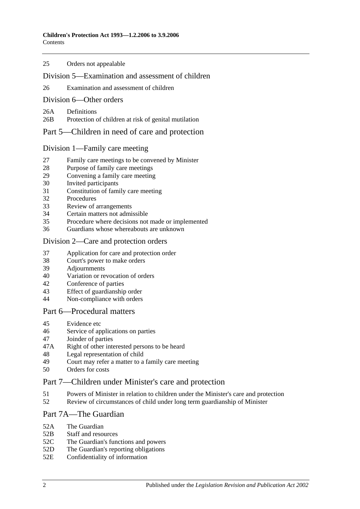#### 25 [Orders not appealable](#page-18-0)

#### [Division 5—Examination and assessment of children](#page-18-1)

26 [Examination and assessment of children](#page-18-2)

#### [Division 6—Other orders](#page-18-3)

26A [Definitions](#page-18-4)

26B [Protection of children at risk of genital mutilation](#page-19-0)

## [Part 5—Children in need of care and protection](#page-19-1)

#### [Division 1—Family care meeting](#page-19-2)

- 27 [Family care meetings to be convened by Minister](#page-19-3)
- 28 [Purpose of family care meetings](#page-20-0)
- 29 [Convening a family care meeting](#page-20-1)
- 30 [Invited participants](#page-20-2)
- 31 [Constitution of family care meeting](#page-20-3)
- 32 [Procedures](#page-21-0)
- 33 [Review of arrangements](#page-22-0)
- 34 [Certain matters not admissible](#page-22-1)
- 35 [Procedure where decisions not made or implemented](#page-23-0)
- 36 [Guardians whose whereabouts are unknown](#page-23-1)

#### [Division 2—Care and protection orders](#page-23-2)

- 37 [Application for care and protection order](#page-23-3)
- 38 [Court's power to make orders](#page-23-4)
- 39 [Adjournments](#page-25-0)
- 40 [Variation or revocation of orders](#page-25-1)
- 42 [Conference of parties](#page-25-2)
- 43 [Effect of guardianship order](#page-25-3)
- 44 [Non-compliance with orders](#page-26-0)

#### [Part 6—Procedural matters](#page-26-1)

- 45 [Evidence etc](#page-26-2)
- 46 [Service of applications on parties](#page-26-3)
- 47 [Joinder of parties](#page-27-0)
- 47A [Right of other interested persons to be heard](#page-27-1)
- 48 [Legal representation of child](#page-27-2)
- 49 [Court may refer a matter to a family care meeting](#page-28-0)<br>50 Orders for costs
- [Orders for costs](#page-28-1)

#### [Part 7—Children under Minister's care and protection](#page-28-2)

- 51 [Powers of Minister in relation to children under the Minister's care and protection](#page-28-3)
- 52 [Review of circumstances of child under long term guardianship of Minister](#page-29-0)

#### [Part 7A—The Guardian](#page-29-1)

- 52A [The Guardian](#page-29-2)<br>52B Staff and reso
- [Staff and resources](#page-30-0)
- 52C [The Guardian's functions and](#page-30-1) powers
- 52D [The Guardian's reporting obligations](#page-31-0)
- 52E [Confidentiality of information](#page-31-1)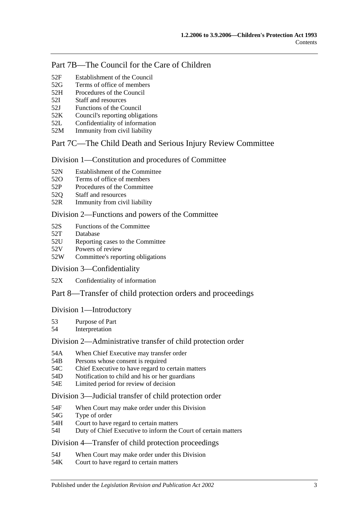## [Part 7B—The Council for the Care of Children](#page-31-2)

- 52F [Establishment of the Council](#page-31-3)
- 52G [Terms of office of members](#page-32-0)
- 52H [Procedures of the Council](#page-32-1)
- 52I [Staff and resources](#page-33-0)
- 52J [Functions of the Council](#page-33-1)
- 52K [Council's reporting obligations](#page-34-0)
- 52L [Confidentiality of information](#page-34-1)
- 52M [Immunity from civil liability](#page-34-2)

## [Part 7C—The Child Death and Serious Injury Review Committee](#page-34-3)

[Division 1—Constitution and procedures of Committee](#page-34-4)

- 52N [Establishment of the Committee](#page-34-5)
- 52O [Terms of office of members](#page-35-0)
- 52P [Procedures of the Committee](#page-36-0)
- 52Q [Staff and resources](#page-36-1)
- 52R [Immunity from civil liability](#page-36-2)

#### [Division 2—Functions and powers of the Committee](#page-36-3)

- 52S [Functions of the Committee](#page-36-4)
- 52T [Database](#page-37-0)
- 52U [Reporting cases to the Committee](#page-38-0)
- 52V [Powers of review](#page-38-1)
- 52W [Committee's reporting obligations](#page-38-2)

#### [Division 3—Confidentiality](#page-39-0)

52X [Confidentiality of information](#page-39-1)

## [Part 8—Transfer of child protection orders and proceedings](#page-39-2)

#### [Division 1—Introductory](#page-39-3)

- 53 [Purpose of Part](#page-39-4)
- 54 [Interpretation](#page-39-5)

#### [Division 2—Administrative transfer of child protection order](#page-41-0)

- 54A [When Chief Executive may transfer order](#page-41-1)
- 54B [Persons whose consent is required](#page-42-0)
- 54C [Chief Executive to have regard to certain matters](#page-42-1)
- 54D [Notification to child and his or her guardians](#page-43-0)
- 54E [Limited period for review of decision](#page-43-1)

#### [Division 3—Judicial transfer of child protection order](#page-44-0)

- 54F [When Court may make order under this Division](#page-44-1)
- 54G [Type of order](#page-44-2)
- 54H [Court to have regard to certain matters](#page-44-3)
- 54I [Duty of Chief Executive to inform the Court of certain matters](#page-45-0)

#### [Division 4—Transfer of child protection proceedings](#page-45-1)

- 54J [When Court may make order under this Division](#page-45-2)
- 54K [Court to have regard to certain matters](#page-45-3)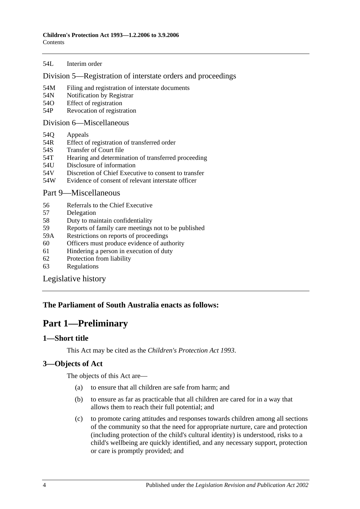#### 54L [Interim order](#page-46-0)

#### [Division 5—Registration of interstate orders and proceedings](#page-46-1)

- 54M [Filing and registration of interstate documents](#page-46-2)
- 54N [Notification by Registrar](#page-46-3)
- 54O [Effect of registration](#page-47-0)
- 54P [Revocation of registration](#page-47-1)

#### [Division 6—Miscellaneous](#page-48-0)

- 54Q [Appeals](#page-48-1)
- 54R [Effect of registration of transferred order](#page-48-2)
- 54S [Transfer of Court file](#page-48-3)
- 54T [Hearing and determination of transferred proceeding](#page-48-4)
- 54U [Disclosure of information](#page-48-5)
- 54V [Discretion of Chief Executive to consent to transfer](#page-49-0)
- 54W [Evidence of consent of relevant interstate officer](#page-49-1)

#### [Part 9—Miscellaneous](#page-49-2)

- 56 [Referrals to the Chief Executive](#page-49-3)
- 57 [Delegation](#page-49-4)
- 58 [Duty to maintain confidentiality](#page-49-5)
- 59 [Reports of family care meetings not to be published](#page-50-0)
- 59A [Restrictions on reports of proceedings](#page-50-1)
- 60 [Officers must produce evidence of authority](#page-50-2)
- 61 [Hindering a person in execution of duty](#page-50-3)
- 62 [Protection from liability](#page-51-0)
- 63 [Regulations](#page-51-1)

[Legislative history](#page-52-0)

## <span id="page-3-0"></span>**The Parliament of South Australia enacts as follows:**

## **Part 1—Preliminary**

## <span id="page-3-1"></span>**1—Short title**

This Act may be cited as the *Children's Protection Act 1993*.

## <span id="page-3-2"></span>**3—Objects of Act**

The objects of this Act are—

- (a) to ensure that all children are safe from harm; and
- (b) to ensure as far as practicable that all children are cared for in a way that allows them to reach their full potential; and
- (c) to promote caring attitudes and responses towards children among all sections of the community so that the need for appropriate nurture, care and protection (including protection of the child's cultural identity) is understood, risks to a child's wellbeing are quickly identified, and any necessary support, protection or care is promptly provided; and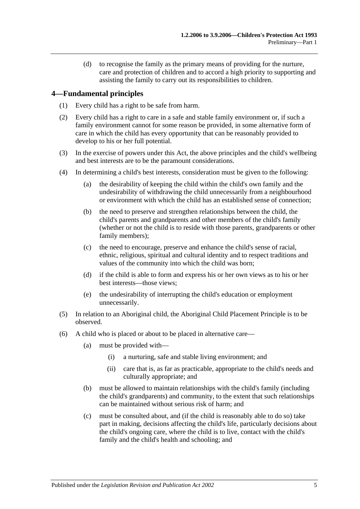(d) to recognise the family as the primary means of providing for the nurture, care and protection of children and to accord a high priority to supporting and assisting the family to carry out its responsibilities to children.

## <span id="page-4-0"></span>**4—Fundamental principles**

- (1) Every child has a right to be safe from harm.
- (2) Every child has a right to care in a safe and stable family environment or, if such a family environment cannot for some reason be provided, in some alternative form of care in which the child has every opportunity that can be reasonably provided to develop to his or her full potential.
- (3) In the exercise of powers under this Act, the above principles and the child's wellbeing and best interests are to be the paramount considerations.
- (4) In determining a child's best interests, consideration must be given to the following:
	- (a) the desirability of keeping the child within the child's own family and the undesirability of withdrawing the child unnecessarily from a neighbourhood or environment with which the child has an established sense of connection;
	- (b) the need to preserve and strengthen relationships between the child, the child's parents and grandparents and other members of the child's family (whether or not the child is to reside with those parents, grandparents or other family members);
	- (c) the need to encourage, preserve and enhance the child's sense of racial, ethnic, religious, spiritual and cultural identity and to respect traditions and values of the community into which the child was born;
	- (d) if the child is able to form and express his or her own views as to his or her best interests—those views;
	- (e) the undesirability of interrupting the child's education or employment unnecessarily.
- (5) In relation to an Aboriginal child, the Aboriginal Child Placement Principle is to be observed.
- (6) A child who is placed or about to be placed in alternative care—
	- (a) must be provided with—
		- (i) a nurturing, safe and stable living environment; and
		- (ii) care that is, as far as practicable, appropriate to the child's needs and culturally appropriate; and
	- (b) must be allowed to maintain relationships with the child's family (including the child's grandparents) and community, to the extent that such relationships can be maintained without serious risk of harm; and
	- (c) must be consulted about, and (if the child is reasonably able to do so) take part in making, decisions affecting the child's life, particularly decisions about the child's ongoing care, where the child is to live, contact with the child's family and the child's health and schooling; and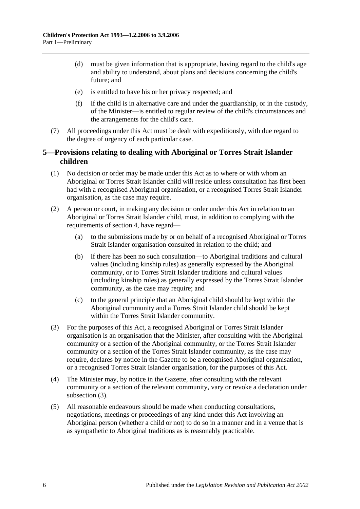- (d) must be given information that is appropriate, having regard to the child's age and ability to understand, about plans and decisions concerning the child's future; and
- (e) is entitled to have his or her privacy respected; and
- (f) if the child is in alternative care and under the guardianship, or in the custody, of the Minister—is entitled to regular review of the child's circumstances and the arrangements for the child's care.
- (7) All proceedings under this Act must be dealt with expeditiously, with due regard to the degree of urgency of each particular case.

## <span id="page-5-0"></span>**5—Provisions relating to dealing with Aboriginal or Torres Strait Islander children**

- (1) No decision or order may be made under this Act as to where or with whom an Aboriginal or Torres Strait Islander child will reside unless consultation has first been had with a recognised Aboriginal organisation, or a recognised Torres Strait Islander organisation, as the case may require.
- (2) A person or court, in making any decision or order under this Act in relation to an Aboriginal or Torres Strait Islander child, must, in addition to complying with the requirements of section 4, have regard—
	- (a) to the submissions made by or on behalf of a recognised Aboriginal or Torres Strait Islander organisation consulted in relation to the child; and
	- (b) if there has been no such consultation—to Aboriginal traditions and cultural values (including kinship rules) as generally expressed by the Aboriginal community, or to Torres Strait Islander traditions and cultural values (including kinship rules) as generally expressed by the Torres Strait Islander community, as the case may require; and
	- (c) to the general principle that an Aboriginal child should be kept within the Aboriginal community and a Torres Strait Islander child should be kept within the Torres Strait Islander community.
- <span id="page-5-1"></span>(3) For the purposes of this Act, a recognised Aboriginal or Torres Strait Islander organisation is an organisation that the Minister, after consulting with the Aboriginal community or a section of the Aboriginal community, or the Torres Strait Islander community or a section of the Torres Strait Islander community, as the case may require, declares by notice in the Gazette to be a recognised Aboriginal organisation, or a recognised Torres Strait Islander organisation, for the purposes of this Act.
- (4) The Minister may, by notice in the Gazette, after consulting with the relevant community or a section of the relevant community, vary or revoke a declaration under [subsection](#page-5-1)  $(3)$ .
- <span id="page-5-2"></span>(5) All reasonable endeavours should be made when conducting consultations, negotiations, meetings or proceedings of any kind under this Act involving an Aboriginal person (whether a child or not) to do so in a manner and in a venue that is as sympathetic to Aboriginal traditions as is reasonably practicable.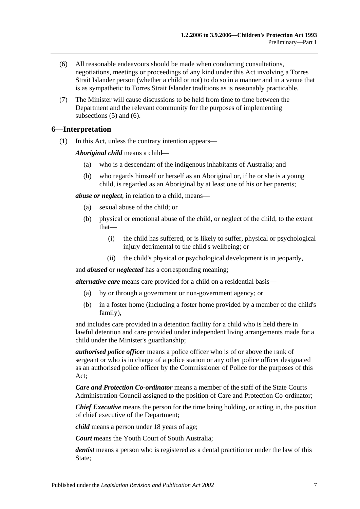- <span id="page-6-1"></span>(6) All reasonable endeavours should be made when conducting consultations, negotiations, meetings or proceedings of any kind under this Act involving a Torres Strait Islander person (whether a child or not) to do so in a manner and in a venue that is as sympathetic to Torres Strait Islander traditions as is reasonably practicable.
- (7) The Minister will cause discussions to be held from time to time between the Department and the relevant community for the purposes of implementing [subsections](#page-5-2) (5) and [\(6\).](#page-6-1)

#### <span id="page-6-2"></span><span id="page-6-0"></span>**6—Interpretation**

(1) In this Act, unless the contrary intention appears—

*Aboriginal child* means a child—

- (a) who is a descendant of the indigenous inhabitants of Australia; and
- (b) who regards himself or herself as an Aboriginal or, if he or she is a young child, is regarded as an Aboriginal by at least one of his or her parents;

*abuse or neglect*, in relation to a child, means—

- (a) sexual abuse of the child; or
- (b) physical or emotional abuse of the child, or neglect of the child, to the extent that—
	- (i) the child has suffered, or is likely to suffer, physical or psychological injury detrimental to the child's wellbeing; or
	- (ii) the child's physical or psychological development is in jeopardy,

and *abused* or *neglected* has a corresponding meaning;

*alternative care* means care provided for a child on a residential basis—

- (a) by or through a government or non-government agency; or
- (b) in a foster home (including a foster home provided by a member of the child's family),

and includes care provided in a detention facility for a child who is held there in lawful detention and care provided under independent living arrangements made for a child under the Minister's guardianship;

*authorised police officer* means a police officer who is of or above the rank of sergeant or who is in charge of a police station or any other police officer designated as an authorised police officer by the Commissioner of Police for the purposes of this Act;

*Care and Protection Co-ordinator* means a member of the staff of the State Courts Administration Council assigned to the position of Care and Protection Co-ordinator;

*Chief Executive* means the person for the time being holding, or acting in, the position of chief executive of the Department;

*child* means a person under 18 years of age;

*Court* means the Youth Court of South Australia;

*dentist* means a person who is registered as a dental practitioner under the law of this State;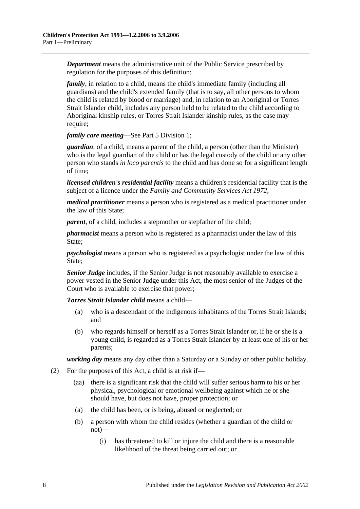*Department* means the administrative unit of the Public Service prescribed by regulation for the purposes of this definition;

*family*, in relation to a child, means the child's immediate family (including all guardians) and the child's extended family (that is to say, all other persons to whom the child is related by blood or marriage) and, in relation to an Aboriginal or Torres Strait Islander child, includes any person held to be related to the child according to Aboriginal kinship rules, or Torres Strait Islander kinship rules, as the case may require;

*family care meeting*—See [Part 5 Division 1;](#page-19-2)

*guardian*, of a child, means a parent of the child, a person (other than the Minister) who is the legal guardian of the child or has the legal custody of the child or any other person who stands *in loco parentis* to the child and has done so for a significant length of time;

*licensed children's residential facility* means a children's residential facility that is the subject of a licence under the *[Family and Community Services Act](http://www.legislation.sa.gov.au/index.aspx?action=legref&type=act&legtitle=Family%20and%20Community%20Services%20Act%201972) 1972*;

*medical practitioner* means a person who is registered as a medical practitioner under the law of this State;

*parent*, of a child, includes a stepmother or stepfather of the child;

*pharmacist* means a person who is registered as a pharmacist under the law of this State;

*psychologist* means a person who is registered as a psychologist under the law of this State;

*Senior Judge* includes, if the Senior Judge is not reasonably available to exercise a power vested in the Senior Judge under this Act, the most senior of the Judges of the Court who is available to exercise that power;

*Torres Strait Islander child* means a child—

- (a) who is a descendant of the indigenous inhabitants of the Torres Strait Islands; and
- (b) who regards himself or herself as a Torres Strait Islander or, if he or she is a young child, is regarded as a Torres Strait Islander by at least one of his or her parents;

*working day* means any day other than a Saturday or a Sunday or other public holiday.

- <span id="page-7-1"></span><span id="page-7-0"></span>(2) For the purposes of this Act, a child is at risk if—
	- (aa) there is a significant risk that the child will suffer serious harm to his or her physical, psychological or emotional wellbeing against which he or she should have, but does not have, proper protection; or
	- (a) the child has been, or is being, abused or neglected; or
	- (b) a person with whom the child resides (whether a guardian of the child or not)—
		- (i) has threatened to kill or injure the child and there is a reasonable likelihood of the threat being carried out; or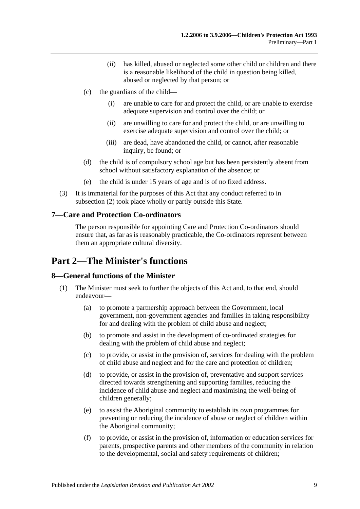- (ii) has killed, abused or neglected some other child or children and there is a reasonable likelihood of the child in question being killed, abused or neglected by that person; or
- (c) the guardians of the child—
	- (i) are unable to care for and protect the child, or are unable to exercise adequate supervision and control over the child; or
	- (ii) are unwilling to care for and protect the child, or are unwilling to exercise adequate supervision and control over the child; or
	- (iii) are dead, have abandoned the child, or cannot, after reasonable inquiry, be found; or
- (d) the child is of compulsory school age but has been persistently absent from school without satisfactory explanation of the absence; or
- (e) the child is under 15 years of age and is of no fixed address.
- (3) It is immaterial for the purposes of this Act that any conduct referred to in [subsection](#page-7-0) (2) took place wholly or partly outside this State.

## <span id="page-8-0"></span>**7—Care and Protection Co-ordinators**

The person responsible for appointing Care and Protection Co-ordinators should ensure that, as far as is reasonably practicable, the Co-ordinators represent between them an appropriate cultural diversity.

## <span id="page-8-1"></span>**Part 2—The Minister's functions**

## <span id="page-8-2"></span>**8—General functions of the Minister**

- (1) The Minister must seek to further the objects of this Act and, to that end, should endeavour—
	- (a) to promote a partnership approach between the Government, local government, non-government agencies and families in taking responsibility for and dealing with the problem of child abuse and neglect;
	- (b) to promote and assist in the development of co-ordinated strategies for dealing with the problem of child abuse and neglect;
	- (c) to provide, or assist in the provision of, services for dealing with the problem of child abuse and neglect and for the care and protection of children;
	- (d) to provide, or assist in the provision of, preventative and support services directed towards strengthening and supporting families, reducing the incidence of child abuse and neglect and maximising the well-being of children generally;
	- (e) to assist the Aboriginal community to establish its own programmes for preventing or reducing the incidence of abuse or neglect of children within the Aboriginal community;
	- (f) to provide, or assist in the provision of, information or education services for parents, prospective parents and other members of the community in relation to the developmental, social and safety requirements of children;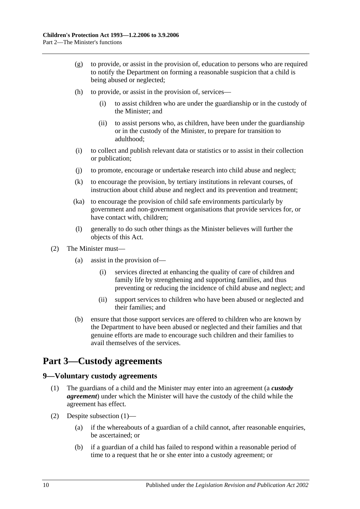- (g) to provide, or assist in the provision of, education to persons who are required to notify the Department on forming a reasonable suspicion that a child is being abused or neglected;
- (h) to provide, or assist in the provision of, services—
	- (i) to assist children who are under the guardianship or in the custody of the Minister; and
	- (ii) to assist persons who, as children, have been under the guardianship or in the custody of the Minister, to prepare for transition to adulthood;
- (i) to collect and publish relevant data or statistics or to assist in their collection or publication;
- (j) to promote, encourage or undertake research into child abuse and neglect;
- (k) to encourage the provision, by tertiary institutions in relevant courses, of instruction about child abuse and neglect and its prevention and treatment;
- (ka) to encourage the provision of child safe environments particularly by government and non-government organisations that provide services for, or have contact with, children;
- (l) generally to do such other things as the Minister believes will further the objects of this Act.
- (2) The Minister must—
	- (a) assist in the provision of—
		- (i) services directed at enhancing the quality of care of children and family life by strengthening and supporting families, and thus preventing or reducing the incidence of child abuse and neglect; and
		- (ii) support services to children who have been abused or neglected and their families; and
	- (b) ensure that those support services are offered to children who are known by the Department to have been abused or neglected and their families and that genuine efforts are made to encourage such children and their families to avail themselves of the services.

## <span id="page-9-0"></span>**Part 3—Custody agreements**

## <span id="page-9-2"></span><span id="page-9-1"></span>**9—Voluntary custody agreements**

- (1) The guardians of a child and the Minister may enter into an agreement (a *custody agreement*) under which the Minister will have the custody of the child while the agreement has effect.
- (2) Despite [subsection](#page-9-2) (1)—
	- (a) if the whereabouts of a guardian of a child cannot, after reasonable enquiries, be ascertained; or
	- (b) if a guardian of a child has failed to respond within a reasonable period of time to a request that he or she enter into a custody agreement; or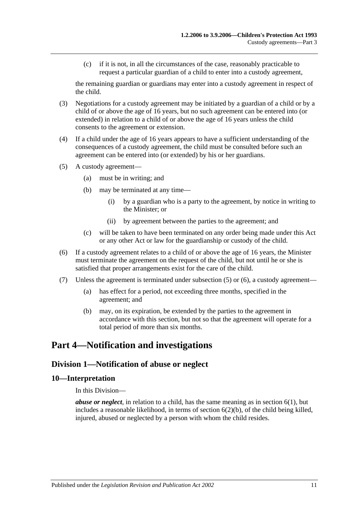(c) if it is not, in all the circumstances of the case, reasonably practicable to request a particular guardian of a child to enter into a custody agreement,

the remaining guardian or guardians may enter into a custody agreement in respect of the child.

- (3) Negotiations for a custody agreement may be initiated by a guardian of a child or by a child of or above the age of 16 years, but no such agreement can be entered into (or extended) in relation to a child of or above the age of 16 years unless the child consents to the agreement or extension.
- (4) If a child under the age of 16 years appears to have a sufficient understanding of the consequences of a custody agreement, the child must be consulted before such an agreement can be entered into (or extended) by his or her guardians.
- <span id="page-10-3"></span>(5) A custody agreement—
	- (a) must be in writing; and
	- (b) may be terminated at any time—
		- (i) by a guardian who is a party to the agreement, by notice in writing to the Minister; or
		- (ii) by agreement between the parties to the agreement; and
	- (c) will be taken to have been terminated on any order being made under this Act or any other Act or law for the guardianship or custody of the child.
- <span id="page-10-4"></span>(6) If a custody agreement relates to a child of or above the age of 16 years, the Minister must terminate the agreement on the request of the child, but not until he or she is satisfied that proper arrangements exist for the care of the child.
- (7) Unless the agreement is terminated under [subsection](#page-10-3) (5) or [\(6\),](#page-10-4) a custody agreement—
	- (a) has effect for a period, not exceeding three months, specified in the agreement; and
	- (b) may, on its expiration, be extended by the parties to the agreement in accordance with this section, but not so that the agreement will operate for a total period of more than six months.

## <span id="page-10-0"></span>**Part 4—Notification and investigations**

## <span id="page-10-1"></span>**Division 1—Notification of abuse or neglect**

#### <span id="page-10-2"></span>**10—Interpretation**

In this Division—

*abuse or neglect*, in relation to a child, has the same meaning as in [section](#page-6-2) 6(1), but includes a reasonable likelihood, in terms of [section](#page-7-1)  $6(2)(b)$ , of the child being killed, injured, abused or neglected by a person with whom the child resides.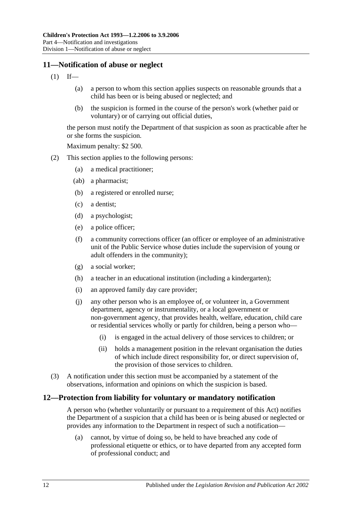## <span id="page-11-0"></span>**11—Notification of abuse or neglect**

- $(1)$  If—
	- (a) a person to whom this section applies suspects on reasonable grounds that a child has been or is being abused or neglected; and
	- (b) the suspicion is formed in the course of the person's work (whether paid or voluntary) or of carrying out official duties,

the person must notify the Department of that suspicion as soon as practicable after he or she forms the suspicion.

Maximum penalty: \$2 500.

- (2) This section applies to the following persons:
	- (a) a medical practitioner;
	- (ab) a pharmacist;
	- (b) a registered or enrolled nurse;
	- (c) a dentist;
	- (d) a psychologist;
	- (e) a police officer;
	- (f) a community corrections officer (an officer or employee of an administrative unit of the Public Service whose duties include the supervision of young or adult offenders in the community);
	- (g) a social worker;
	- (h) a teacher in an educational institution (including a kindergarten);
	- (i) an approved family day care provider;
	- (j) any other person who is an employee of, or volunteer in, a Government department, agency or instrumentality, or a local government or non-government agency, that provides health, welfare, education, child care or residential services wholly or partly for children, being a person who—
		- (i) is engaged in the actual delivery of those services to children; or
		- (ii) holds a management position in the relevant organisation the duties of which include direct responsibility for, or direct supervision of, the provision of those services to children.
- (3) A notification under this section must be accompanied by a statement of the observations, information and opinions on which the suspicion is based.

#### <span id="page-11-1"></span>**12—Protection from liability for voluntary or mandatory notification**

A person who (whether voluntarily or pursuant to a requirement of this Act) notifies the Department of a suspicion that a child has been or is being abused or neglected or provides any information to the Department in respect of such a notification—

(a) cannot, by virtue of doing so, be held to have breached any code of professional etiquette or ethics, or to have departed from any accepted form of professional conduct; and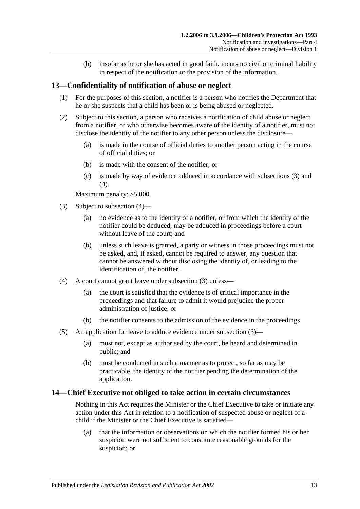(b) insofar as he or she has acted in good faith, incurs no civil or criminal liability in respect of the notification or the provision of the information.

## <span id="page-12-0"></span>**13—Confidentiality of notification of abuse or neglect**

- (1) For the purposes of this section, a notifier is a person who notifies the Department that he or she suspects that a child has been or is being abused or neglected.
- (2) Subject to this section, a person who receives a notification of child abuse or neglect from a notifier, or who otherwise becomes aware of the identity of a notifier, must not disclose the identity of the notifier to any other person unless the disclosure—
	- (a) is made in the course of official duties to another person acting in the course of official duties; or
	- (b) is made with the consent of the notifier; or
	- (c) is made by way of evidence adduced in accordance with [subsections](#page-12-2) (3) and [\(4\).](#page-12-3)

Maximum penalty: \$5 000.

- <span id="page-12-2"></span>(3) Subject to [subsection](#page-12-3) (4)—
	- (a) no evidence as to the identity of a notifier, or from which the identity of the notifier could be deduced, may be adduced in proceedings before a court without leave of the court; and
	- (b) unless such leave is granted, a party or witness in those proceedings must not be asked, and, if asked, cannot be required to answer, any question that cannot be answered without disclosing the identity of, or leading to the identification of, the notifier.
- <span id="page-12-3"></span>(4) A court cannot grant leave under [subsection](#page-12-2) (3) unless—
	- (a) the court is satisfied that the evidence is of critical importance in the proceedings and that failure to admit it would prejudice the proper administration of justice; or
	- (b) the notifier consents to the admission of the evidence in the proceedings.
- (5) An application for leave to adduce evidence under [subsection](#page-12-2) (3)—
	- (a) must not, except as authorised by the court, be heard and determined in public; and
	- (b) must be conducted in such a manner as to protect, so far as may be practicable, the identity of the notifier pending the determination of the application.

#### <span id="page-12-1"></span>**14—Chief Executive not obliged to take action in certain circumstances**

Nothing in this Act requires the Minister or the Chief Executive to take or initiate any action under this Act in relation to a notification of suspected abuse or neglect of a child if the Minister or the Chief Executive is satisfied—

(a) that the information or observations on which the notifier formed his or her suspicion were not sufficient to constitute reasonable grounds for the suspicion; or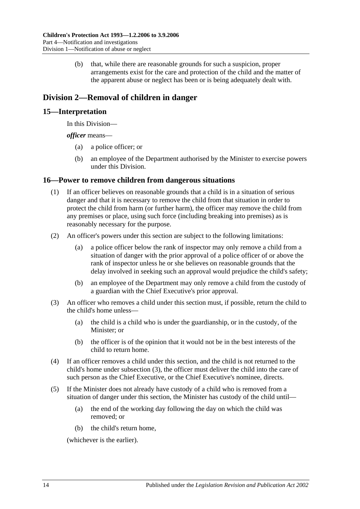(b) that, while there are reasonable grounds for such a suspicion, proper arrangements exist for the care and protection of the child and the matter of the apparent abuse or neglect has been or is being adequately dealt with.

## <span id="page-13-0"></span>**Division 2—Removal of children in danger**

## <span id="page-13-1"></span>**15—Interpretation**

In this Division—

*officer* means—

- (a) a police officer; or
- (b) an employee of the Department authorised by the Minister to exercise powers under this Division.

## <span id="page-13-2"></span>**16—Power to remove children from dangerous situations**

- (1) If an officer believes on reasonable grounds that a child is in a situation of serious danger and that it is necessary to remove the child from that situation in order to protect the child from harm (or further harm), the officer may remove the child from any premises or place, using such force (including breaking into premises) as is reasonably necessary for the purpose.
- (2) An officer's powers under this section are subject to the following limitations:
	- (a) a police officer below the rank of inspector may only remove a child from a situation of danger with the prior approval of a police officer of or above the rank of inspector unless he or she believes on reasonable grounds that the delay involved in seeking such an approval would prejudice the child's safety;
	- (b) an employee of the Department may only remove a child from the custody of a guardian with the Chief Executive's prior approval.
- <span id="page-13-3"></span>(3) An officer who removes a child under this section must, if possible, return the child to the child's home unless—
	- (a) the child is a child who is under the guardianship, or in the custody, of the Minister; or
	- (b) the officer is of the opinion that it would not be in the best interests of the child to return home.
- (4) If an officer removes a child under this section, and the child is not returned to the child's home under [subsection](#page-13-3) (3), the officer must deliver the child into the care of such person as the Chief Executive, or the Chief Executive's nominee, directs.
- (5) If the Minister does not already have custody of a child who is removed from a situation of danger under this section, the Minister has custody of the child until—
	- (a) the end of the working day following the day on which the child was removed; or
	- (b) the child's return home,

(whichever is the earlier).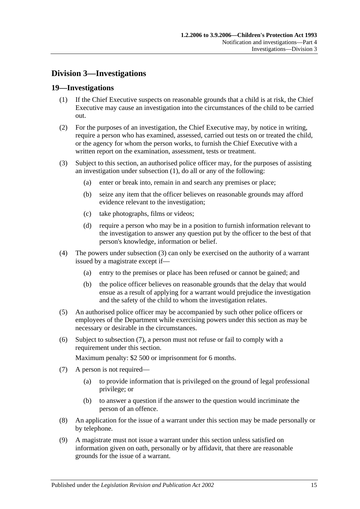## <span id="page-14-0"></span>**Division 3—Investigations**

## <span id="page-14-2"></span><span id="page-14-1"></span>**19—Investigations**

- (1) If the Chief Executive suspects on reasonable grounds that a child is at risk, the Chief Executive may cause an investigation into the circumstances of the child to be carried out.
- (2) For the purposes of an investigation, the Chief Executive may, by notice in writing, require a person who has examined, assessed, carried out tests on or treated the child, or the agency for whom the person works, to furnish the Chief Executive with a written report on the examination, assessment, tests or treatment.
- <span id="page-14-3"></span>(3) Subject to this section, an authorised police officer may, for the purposes of assisting an investigation under [subsection](#page-14-2) (1), do all or any of the following:
	- (a) enter or break into, remain in and search any premises or place;
	- (b) seize any item that the officer believes on reasonable grounds may afford evidence relevant to the investigation;
	- (c) take photographs, films or videos;
	- (d) require a person who may be in a position to furnish information relevant to the investigation to answer any question put by the officer to the best of that person's knowledge, information or belief.
- (4) The powers under [subsection](#page-14-3) (3) can only be exercised on the authority of a warrant issued by a magistrate except if—
	- (a) entry to the premises or place has been refused or cannot be gained; and
	- (b) the police officer believes on reasonable grounds that the delay that would ensue as a result of applying for a warrant would prejudice the investigation and the safety of the child to whom the investigation relates.
- (5) An authorised police officer may be accompanied by such other police officers or employees of the Department while exercising powers under this section as may be necessary or desirable in the circumstances.
- (6) Subject to [subsection](#page-14-4) (7), a person must not refuse or fail to comply with a requirement under this section.

Maximum penalty: \$2 500 or imprisonment for 6 months.

- <span id="page-14-4"></span>(7) A person is not required—
	- (a) to provide information that is privileged on the ground of legal professional privilege; or
	- (b) to answer a question if the answer to the question would incriminate the person of an offence.
- (8) An application for the issue of a warrant under this section may be made personally or by telephone.
- (9) A magistrate must not issue a warrant under this section unless satisfied on information given on oath, personally or by affidavit, that there are reasonable grounds for the issue of a warrant.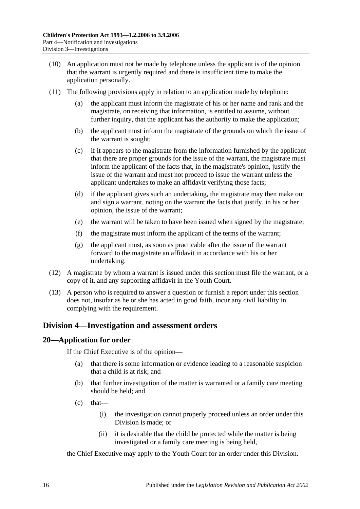- (10) An application must not be made by telephone unless the applicant is of the opinion that the warrant is urgently required and there is insufficient time to make the application personally.
- (11) The following provisions apply in relation to an application made by telephone:
	- the applicant must inform the magistrate of his or her name and rank and the magistrate, on receiving that information, is entitled to assume, without further inquiry, that the applicant has the authority to make the application;
	- (b) the applicant must inform the magistrate of the grounds on which the issue of the warrant is sought;
	- (c) if it appears to the magistrate from the information furnished by the applicant that there are proper grounds for the issue of the warrant, the magistrate must inform the applicant of the facts that, in the magistrate's opinion, justify the issue of the warrant and must not proceed to issue the warrant unless the applicant undertakes to make an affidavit verifying those facts;
	- (d) if the applicant gives such an undertaking, the magistrate may then make out and sign a warrant, noting on the warrant the facts that justify, in his or her opinion, the issue of the warrant;
	- (e) the warrant will be taken to have been issued when signed by the magistrate;
	- (f) the magistrate must inform the applicant of the terms of the warrant;
	- (g) the applicant must, as soon as practicable after the issue of the warrant forward to the magistrate an affidavit in accordance with his or her undertaking.
- (12) A magistrate by whom a warrant is issued under this section must file the warrant, or a copy of it, and any supporting affidavit in the Youth Court.
- (13) A person who is required to answer a question or furnish a report under this section does not, insofar as he or she has acted in good faith, incur any civil liability in complying with the requirement.

## <span id="page-15-0"></span>**Division 4—Investigation and assessment orders**

## <span id="page-15-1"></span>**20—Application for order**

If the Chief Executive is of the opinion—

- (a) that there is some information or evidence leading to a reasonable suspicion that a child is at risk; and
- (b) that further investigation of the matter is warranted or a family care meeting should be held; and
- $(c)$  that—
	- (i) the investigation cannot properly proceed unless an order under this Division is made; or
	- (ii) it is desirable that the child be protected while the matter is being investigated or a family care meeting is being held,

the Chief Executive may apply to the Youth Court for an order under this Division.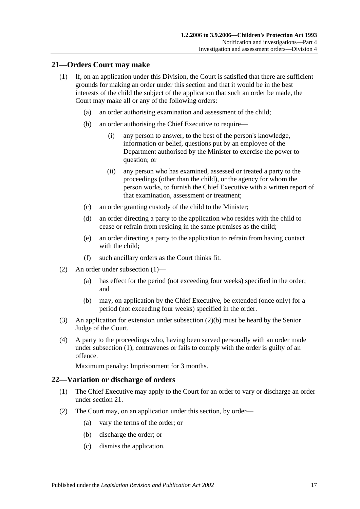#### <span id="page-16-2"></span><span id="page-16-0"></span>**21—Orders Court may make**

- (1) If, on an application under this Division, the Court is satisfied that there are sufficient grounds for making an order under this section and that it would be in the best interests of the child the subject of the application that such an order be made, the Court may make all or any of the following orders:
	- (a) an order authorising examination and assessment of the child;
	- (b) an order authorising the Chief Executive to require—
		- (i) any person to answer, to the best of the person's knowledge, information or belief, questions put by an employee of the Department authorised by the Minister to exercise the power to question; or
		- (ii) any person who has examined, assessed or treated a party to the proceedings (other than the child), or the agency for whom the person works, to furnish the Chief Executive with a written report of that examination, assessment or treatment;
	- (c) an order granting custody of the child to the Minister;
	- (d) an order directing a party to the application who resides with the child to cease or refrain from residing in the same premises as the child;
	- (e) an order directing a party to the application to refrain from having contact with the child;
	- (f) such ancillary orders as the Court thinks fit.
- (2) An order under [subsection](#page-16-2) (1)—
	- (a) has effect for the period (not exceeding four weeks) specified in the order; and
	- (b) may, on application by the Chief Executive, be extended (once only) for a period (not exceeding four weeks) specified in the order.
- <span id="page-16-3"></span>(3) An application for extension under [subsection](#page-16-3) (2)(b) must be heard by the Senior Judge of the Court.
- (4) A party to the proceedings who, having been served personally with an order made under [subsection](#page-16-2) (1), contravenes or fails to comply with the order is guilty of an offence.

Maximum penalty: Imprisonment for 3 months.

#### <span id="page-16-1"></span>**22—Variation or discharge of orders**

- (1) The Chief Executive may apply to the Court for an order to vary or discharge an order under [section](#page-16-0) 21.
- (2) The Court may, on an application under this section, by order—
	- (a) vary the terms of the order; or
	- (b) discharge the order; or
	- (c) dismiss the application.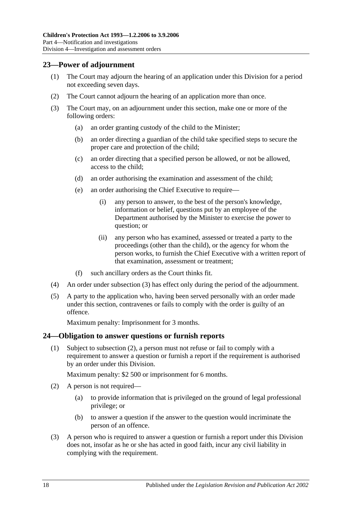## <span id="page-17-0"></span>**23—Power of adjournment**

- (1) The Court may adjourn the hearing of an application under this Division for a period not exceeding seven days.
- (2) The Court cannot adjourn the hearing of an application more than once.
- <span id="page-17-2"></span>(3) The Court may, on an adjournment under this section, make one or more of the following orders:
	- (a) an order granting custody of the child to the Minister;
	- (b) an order directing a guardian of the child take specified steps to secure the proper care and protection of the child;
	- (c) an order directing that a specified person be allowed, or not be allowed, access to the child;
	- (d) an order authorising the examination and assessment of the child;
	- (e) an order authorising the Chief Executive to require—
		- (i) any person to answer, to the best of the person's knowledge, information or belief, questions put by an employee of the Department authorised by the Minister to exercise the power to question; or
		- (ii) any person who has examined, assessed or treated a party to the proceedings (other than the child), or the agency for whom the person works, to furnish the Chief Executive with a written report of that examination, assessment or treatment;
	- (f) such ancillary orders as the Court thinks fit.
- (4) An order under [subsection](#page-17-2) (3) has effect only during the period of the adjournment.
- (5) A party to the application who, having been served personally with an order made under this section, contravenes or fails to comply with the order is guilty of an offence.

Maximum penalty: Imprisonment for 3 months.

#### <span id="page-17-1"></span>**24—Obligation to answer questions or furnish reports**

(1) Subject to [subsection](#page-17-3) (2), a person must not refuse or fail to comply with a requirement to answer a question or furnish a report if the requirement is authorised by an order under this Division.

Maximum penalty: \$2 500 or imprisonment for 6 months.

- <span id="page-17-3"></span>(2) A person is not required—
	- (a) to provide information that is privileged on the ground of legal professional privilege; or
	- (b) to answer a question if the answer to the question would incriminate the person of an offence.
- (3) A person who is required to answer a question or furnish a report under this Division does not, insofar as he or she has acted in good faith, incur any civil liability in complying with the requirement.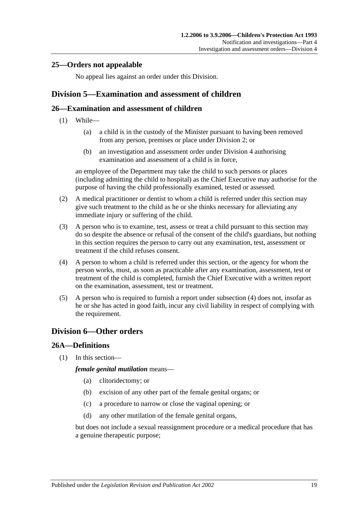## <span id="page-18-0"></span>**25—Orders not appealable**

No appeal lies against an order under this Division.

## <span id="page-18-1"></span>**Division 5—Examination and assessment of children**

## <span id="page-18-2"></span>**26—Examination and assessment of children**

- (1) While—
	- (a) a child is in the custody of the Minister pursuant to having been removed from any person, premises or place under [Division 2;](#page-13-0) or
	- (b) an investigation and assessment order under [Division 4](#page-15-0) authorising examination and assessment of a child is in force,

an employee of the Department may take the child to such persons or places (including admitting the child to hospital) as the Chief Executive may authorise for the purpose of having the child professionally examined, tested or assessed.

- (2) A medical practitioner or dentist to whom a child is referred under this section may give such treatment to the child as he or she thinks necessary for alleviating any immediate injury or suffering of the child.
- (3) A person who is to examine, test, assess or treat a child pursuant to this section may do so despite the absence or refusal of the consent of the child's guardians, but nothing in this section requires the person to carry out any examination, test, assessment or treatment if the child refuses consent.
- <span id="page-18-5"></span>(4) A person to whom a child is referred under this section, or the agency for whom the person works, must, as soon as practicable after any examination, assessment, test or treatment of the child is completed, furnish the Chief Executive with a written report on the examination, assessment, test or treatment.
- (5) A person who is required to furnish a report under [subsection](#page-18-5) (4) does not, insofar as he or she has acted in good faith, incur any civil liability in respect of complying with the requirement.

## <span id="page-18-3"></span>**Division 6—Other orders**

## <span id="page-18-4"></span>**26A—Definitions**

(1) In this section—

*female genital mutilation* means—

- (a) clitoridectomy; or
- (b) excision of any other part of the female genital organs; or
- (c) a procedure to narrow or close the vaginal opening; or
- (d) any other mutilation of the female genital organs,

but does not include a sexual reassignment procedure or a medical procedure that has a genuine therapeutic purpose;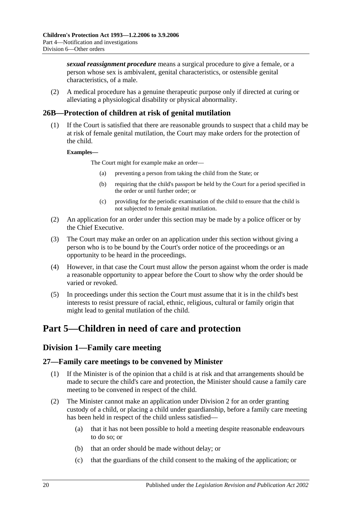*sexual reassignment procedure* means a surgical procedure to give a female, or a person whose sex is ambivalent, genital characteristics, or ostensible genital characteristics, of a male.

(2) A medical procedure has a genuine therapeutic purpose only if directed at curing or alleviating a physiological disability or physical abnormality.

## <span id="page-19-0"></span>**26B—Protection of children at risk of genital mutilation**

(1) If the Court is satisfied that there are reasonable grounds to suspect that a child may be at risk of female genital mutilation, the Court may make orders for the protection of the child.

#### **Examples—**

The Court might for example make an order—

- (a) preventing a person from taking the child from the State; or
- (b) requiring that the child's passport be held by the Court for a period specified in the order or until further order; or
- (c) providing for the periodic examination of the child to ensure that the child is not subjected to female genital mutilation.
- (2) An application for an order under this section may be made by a police officer or by the Chief Executive.
- (3) The Court may make an order on an application under this section without giving a person who is to be bound by the Court's order notice of the proceedings or an opportunity to be heard in the proceedings.
- (4) However, in that case the Court must allow the person against whom the order is made a reasonable opportunity to appear before the Court to show why the order should be varied or revoked.
- (5) In proceedings under this section the Court must assume that it is in the child's best interests to resist pressure of racial, ethnic, religious, cultural or family origin that might lead to genital mutilation of the child.

## <span id="page-19-2"></span><span id="page-19-1"></span>**Part 5—Children in need of care and protection**

## **Division 1—Family care meeting**

## <span id="page-19-3"></span>**27—Family care meetings to be convened by Minister**

- (1) If the Minister is of the opinion that a child is at risk and that arrangements should be made to secure the child's care and protection, the Minister should cause a family care meeting to be convened in respect of the child.
- (2) The Minister cannot make an application under [Division 2](#page-23-2) for an order granting custody of a child, or placing a child under guardianship, before a family care meeting has been held in respect of the child unless satisfied—
	- (a) that it has not been possible to hold a meeting despite reasonable endeavours to do so; or
	- (b) that an order should be made without delay; or
	- (c) that the guardians of the child consent to the making of the application; or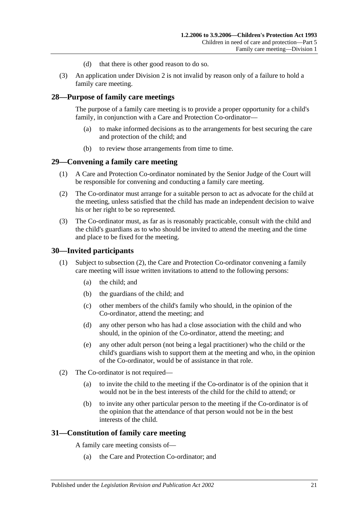- (d) that there is other good reason to do so.
- (3) An application under [Division 2](#page-23-2) is not invalid by reason only of a failure to hold a family care meeting.

#### <span id="page-20-0"></span>**28—Purpose of family care meetings**

The purpose of a family care meeting is to provide a proper opportunity for a child's family, in conjunction with a Care and Protection Co-ordinator—

- (a) to make informed decisions as to the arrangements for best securing the care and protection of the child; and
- (b) to review those arrangements from time to time.

#### <span id="page-20-1"></span>**29—Convening a family care meeting**

- (1) A Care and Protection Co-ordinator nominated by the Senior Judge of the Court will be responsible for convening and conducting a family care meeting.
- (2) The Co-ordinator must arrange for a suitable person to act as advocate for the child at the meeting, unless satisfied that the child has made an independent decision to waive his or her right to be so represented.
- (3) The Co-ordinator must, as far as is reasonably practicable, consult with the child and the child's guardians as to who should be invited to attend the meeting and the time and place to be fixed for the meeting.

#### <span id="page-20-2"></span>**30—Invited participants**

- (1) Subject to [subsection](#page-20-4) (2), the Care and Protection Co-ordinator convening a family care meeting will issue written invitations to attend to the following persons:
	- (a) the child; and
	- (b) the guardians of the child; and
	- (c) other members of the child's family who should, in the opinion of the Co-ordinator, attend the meeting; and
	- (d) any other person who has had a close association with the child and who should, in the opinion of the Co-ordinator, attend the meeting; and
	- (e) any other adult person (not being a legal practitioner) who the child or the child's guardians wish to support them at the meeting and who, in the opinion of the Co-ordinator, would be of assistance in that role.
- <span id="page-20-4"></span>(2) The Co-ordinator is not required—
	- (a) to invite the child to the meeting if the Co-ordinator is of the opinion that it would not be in the best interests of the child for the child to attend; or
	- (b) to invite any other particular person to the meeting if the Co-ordinator is of the opinion that the attendance of that person would not be in the best interests of the child.

#### <span id="page-20-3"></span>**31—Constitution of family care meeting**

A family care meeting consists of—

(a) the Care and Protection Co-ordinator; and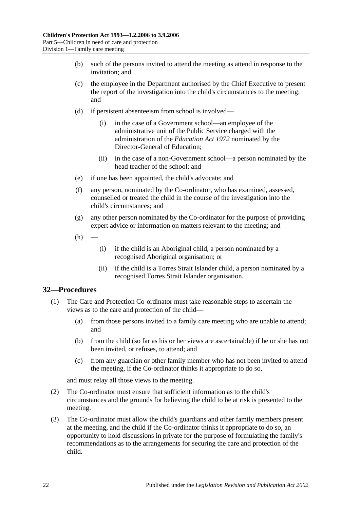- (b) such of the persons invited to attend the meeting as attend in response to the invitation; and
- (c) the employee in the Department authorised by the Chief Executive to present the report of the investigation into the child's circumstances to the meeting; and
- (d) if persistent absenteeism from school is involved—
	- (i) in the case of a Government school—an employee of the administrative unit of the Public Service charged with the administration of the *[Education Act](http://www.legislation.sa.gov.au/index.aspx?action=legref&type=act&legtitle=Education%20Act%201972) 1972* nominated by the Director-General of Education;
	- (ii) in the case of a non-Government school—a person nominated by the head teacher of the school; and
- (e) if one has been appointed, the child's advocate; and
- (f) any person, nominated by the Co-ordinator, who has examined, assessed, counselled or treated the child in the course of the investigation into the child's circumstances; and
- (g) any other person nominated by the Co-ordinator for the purpose of providing expert advice or information on matters relevant to the meeting; and
- $(h)$
- (i) if the child is an Aboriginal child, a person nominated by a recognised Aboriginal organisation; or
- (ii) if the child is a Torres Strait Islander child, a person nominated by a recognised Torres Strait Islander organisation.

## <span id="page-21-0"></span>**32—Procedures**

- (1) The Care and Protection Co-ordinator must take reasonable steps to ascertain the views as to the care and protection of the child—
	- (a) from those persons invited to a family care meeting who are unable to attend; and
	- (b) from the child (so far as his or her views are ascertainable) if he or she has not been invited, or refuses, to attend; and
	- (c) from any guardian or other family member who has not been invited to attend the meeting, if the Co-ordinator thinks it appropriate to do so,

and must relay all those views to the meeting.

- (2) The Co-ordinator must ensure that sufficient information as to the child's circumstances and the grounds for believing the child to be at risk is presented to the meeting.
- (3) The Co-ordinator must allow the child's guardians and other family members present at the meeting, and the child if the Co-ordinator thinks it appropriate to do so, an opportunity to hold discussions in private for the purpose of formulating the family's recommendations as to the arrangements for securing the care and protection of the child.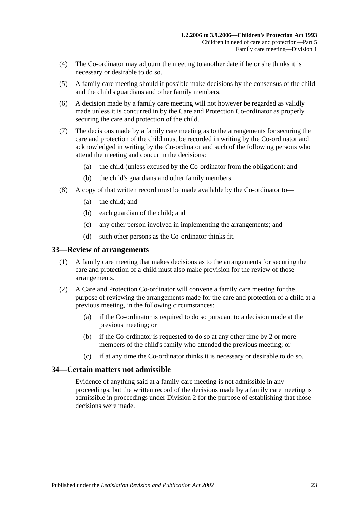- (4) The Co-ordinator may adjourn the meeting to another date if he or she thinks it is necessary or desirable to do so.
- (5) A family care meeting should if possible make decisions by the consensus of the child and the child's guardians and other family members.
- (6) A decision made by a family care meeting will not however be regarded as validly made unless it is concurred in by the Care and Protection Co-ordinator as properly securing the care and protection of the child.
- (7) The decisions made by a family care meeting as to the arrangements for securing the care and protection of the child must be recorded in writing by the Co-ordinator and acknowledged in writing by the Co-ordinator and such of the following persons who attend the meeting and concur in the decisions:
	- (a) the child (unless excused by the Co-ordinator from the obligation); and
	- (b) the child's guardians and other family members.
- (8) A copy of that written record must be made available by the Co-ordinator to—
	- (a) the child; and
	- (b) each guardian of the child; and
	- (c) any other person involved in implementing the arrangements; and
	- (d) such other persons as the Co-ordinator thinks fit.

#### <span id="page-22-0"></span>**33—Review of arrangements**

- (1) A family care meeting that makes decisions as to the arrangements for securing the care and protection of a child must also make provision for the review of those arrangements.
- (2) A Care and Protection Co-ordinator will convene a family care meeting for the purpose of reviewing the arrangements made for the care and protection of a child at a previous meeting, in the following circumstances:
	- (a) if the Co-ordinator is required to do so pursuant to a decision made at the previous meeting; or
	- (b) if the Co-ordinator is requested to do so at any other time by 2 or more members of the child's family who attended the previous meeting; or
	- (c) if at any time the Co-ordinator thinks it is necessary or desirable to do so.

#### <span id="page-22-1"></span>**34—Certain matters not admissible**

Evidence of anything said at a family care meeting is not admissible in any proceedings, but the written record of the decisions made by a family care meeting is admissible in proceedings under [Division 2](#page-23-2) for the purpose of establishing that those decisions were made.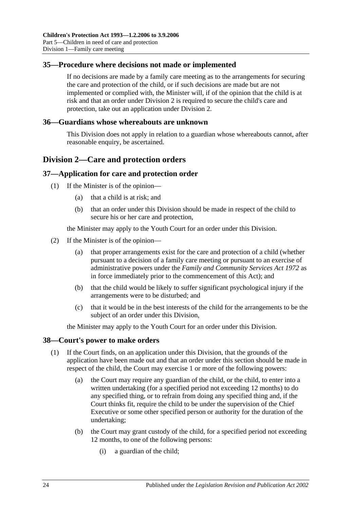## <span id="page-23-0"></span>**35—Procedure where decisions not made or implemented**

If no decisions are made by a family care meeting as to the arrangements for securing the care and protection of the child, or if such decisions are made but are not implemented or complied with, the Minister will, if of the opinion that the child is at risk and that an order under [Division 2](#page-23-2) is required to secure the child's care and protection, take out an application under [Division 2.](#page-23-2)

#### <span id="page-23-1"></span>**36—Guardians whose whereabouts are unknown**

This Division does not apply in relation to a guardian whose whereabouts cannot, after reasonable enquiry, be ascertained.

## <span id="page-23-2"></span>**Division 2—Care and protection orders**

#### <span id="page-23-3"></span>**37—Application for care and protection order**

- (1) If the Minister is of the opinion—
	- (a) that a child is at risk; and
	- (b) that an order under this Division should be made in respect of the child to secure his or her care and protection,

the Minister may apply to the Youth Court for an order under this Division.

- (2) If the Minister is of the opinion—
	- (a) that proper arrangements exist for the care and protection of a child (whether pursuant to a decision of a family care meeting or pursuant to an exercise of administrative powers under the *[Family and Community Services Act](http://www.legislation.sa.gov.au/index.aspx?action=legref&type=act&legtitle=Family%20and%20Community%20Services%20Act%201972) 1972* as in force immediately prior to the commencement of this Act); and
	- (b) that the child would be likely to suffer significant psychological injury if the arrangements were to be disturbed; and
	- (c) that it would be in the best interests of the child for the arrangements to be the subject of an order under this Division,

the Minister may apply to the Youth Court for an order under this Division.

#### <span id="page-23-4"></span>**38—Court's power to make orders**

- (1) If the Court finds, on an application under this Division, that the grounds of the application have been made out and that an order under this section should be made in respect of the child, the Court may exercise 1 or more of the following powers:
	- (a) the Court may require any guardian of the child, or the child, to enter into a written undertaking (for a specified period not exceeding 12 months) to do any specified thing, or to refrain from doing any specified thing and, if the Court thinks fit, require the child to be under the supervision of the Chief Executive or some other specified person or authority for the duration of the undertaking;
	- (b) the Court may grant custody of the child, for a specified period not exceeding 12 months, to one of the following persons:
		- (i) a guardian of the child;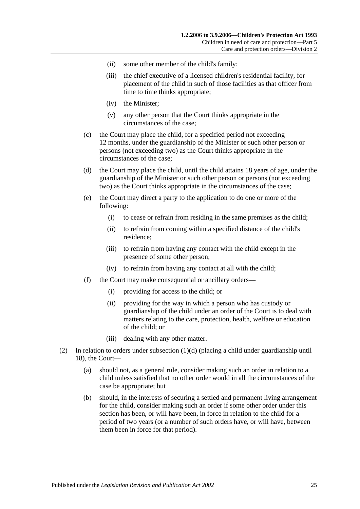- (ii) some other member of the child's family;
- (iii) the chief executive of a licensed children's residential facility, for placement of the child in such of those facilities as that officer from time to time thinks appropriate;
- (iv) the Minister;
- (v) any other person that the Court thinks appropriate in the circumstances of the case;
- (c) the Court may place the child, for a specified period not exceeding 12 months, under the guardianship of the Minister or such other person or persons (not exceeding two) as the Court thinks appropriate in the circumstances of the case;
- <span id="page-24-0"></span>(d) the Court may place the child, until the child attains 18 years of age, under the guardianship of the Minister or such other person or persons (not exceeding two) as the Court thinks appropriate in the circumstances of the case;
- (e) the Court may direct a party to the application to do one or more of the following:
	- (i) to cease or refrain from residing in the same premises as the child;
	- (ii) to refrain from coming within a specified distance of the child's residence;
	- (iii) to refrain from having any contact with the child except in the presence of some other person;
	- (iv) to refrain from having any contact at all with the child;
- (f) the Court may make consequential or ancillary orders—
	- (i) providing for access to the child; or
	- (ii) providing for the way in which a person who has custody or guardianship of the child under an order of the Court is to deal with matters relating to the care, protection, health, welfare or education of the child; or
	- (iii) dealing with any other matter.
- (2) In relation to orders under [subsection](#page-24-0) (1)(d) (placing a child under guardianship until 18), the Court—
	- (a) should not, as a general rule, consider making such an order in relation to a child unless satisfied that no other order would in all the circumstances of the case be appropriate; but
	- (b) should, in the interests of securing a settled and permanent living arrangement for the child, consider making such an order if some other order under this section has been, or will have been, in force in relation to the child for a period of two years (or a number of such orders have, or will have, between them been in force for that period).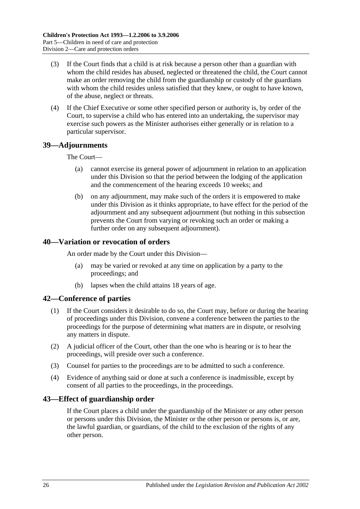- (3) If the Court finds that a child is at risk because a person other than a guardian with whom the child resides has abused, neglected or threatened the child, the Court cannot make an order removing the child from the guardianship or custody of the guardians with whom the child resides unless satisfied that they knew, or ought to have known, of the abuse, neglect or threats.
- (4) If the Chief Executive or some other specified person or authority is, by order of the Court, to supervise a child who has entered into an undertaking, the supervisor may exercise such powers as the Minister authorises either generally or in relation to a particular supervisor.

#### <span id="page-25-0"></span>**39—Adjournments**

#### The Court—

- (a) cannot exercise its general power of adjournment in relation to an application under this Division so that the period between the lodging of the application and the commencement of the hearing exceeds 10 weeks; and
- (b) on any adjournment, may make such of the orders it is empowered to make under this Division as it thinks appropriate, to have effect for the period of the adjournment and any subsequent adjournment (but nothing in this subsection prevents the Court from varying or revoking such an order or making a further order on any subsequent adjournment).

## <span id="page-25-1"></span>**40—Variation or revocation of orders**

An order made by the Court under this Division—

- (a) may be varied or revoked at any time on application by a party to the proceedings; and
- (b) lapses when the child attains 18 years of age.

#### <span id="page-25-2"></span>**42—Conference of parties**

- (1) If the Court considers it desirable to do so, the Court may, before or during the hearing of proceedings under this Division, convene a conference between the parties to the proceedings for the purpose of determining what matters are in dispute, or resolving any matters in dispute.
- (2) A judicial officer of the Court, other than the one who is hearing or is to hear the proceedings, will preside over such a conference.
- (3) Counsel for parties to the proceedings are to be admitted to such a conference.
- (4) Evidence of anything said or done at such a conference is inadmissible, except by consent of all parties to the proceedings, in the proceedings.

## <span id="page-25-3"></span>**43—Effect of guardianship order**

If the Court places a child under the guardianship of the Minister or any other person or persons under this Division, the Minister or the other person or persons is, or are, the lawful guardian, or guardians, of the child to the exclusion of the rights of any other person.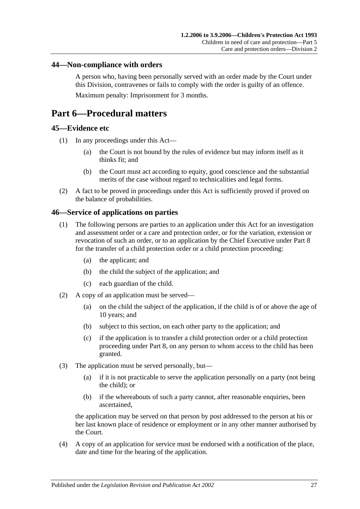#### <span id="page-26-0"></span>**44—Non-compliance with orders**

A person who, having been personally served with an order made by the Court under this Division, contravenes or fails to comply with the order is guilty of an offence. Maximum penalty: Imprisonment for 3 months.

## <span id="page-26-1"></span>**Part 6—Procedural matters**

#### <span id="page-26-2"></span>**45—Evidence etc**

- (1) In any proceedings under this Act—
	- (a) the Court is not bound by the rules of evidence but may inform itself as it thinks fit; and
	- (b) the Court must act according to equity, good conscience and the substantial merits of the case without regard to technicalities and legal forms.
- (2) A fact to be proved in proceedings under this Act is sufficiently proved if proved on the balance of probabilities.

#### <span id="page-26-3"></span>**46—Service of applications on parties**

- (1) The following persons are parties to an application under this Act for an investigation and assessment order or a care and protection order, or for the variation, extension or revocation of such an order, or to an application by the Chief Executive under [Part 8](#page-39-2) for the transfer of a child protection order or a child protection proceeding:
	- (a) the applicant; and
	- (b) the child the subject of the application; and
	- (c) each guardian of the child.
- (2) A copy of an application must be served—
	- (a) on the child the subject of the application, if the child is of or above the age of 10 years; and
	- (b) subject to this section, on each other party to the application; and
	- (c) if the application is to transfer a child protection order or a child protection proceeding under [Part 8,](#page-39-2) on any person to whom access to the child has been granted.
- (3) The application must be served personally, but—
	- (a) if it is not practicable to serve the application personally on a party (not being the child); or
	- (b) if the whereabouts of such a party cannot, after reasonable enquiries, been ascertained,

the application may be served on that person by post addressed to the person at his or her last known place of residence or employment or in any other manner authorised by the Court.

(4) A copy of an application for service must be endorsed with a notification of the place, date and time for the hearing of the application.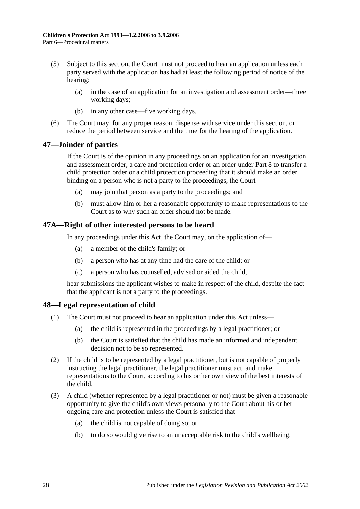- (5) Subject to this section, the Court must not proceed to hear an application unless each party served with the application has had at least the following period of notice of the hearing:
	- (a) in the case of an application for an investigation and assessment order—three working days;
	- (b) in any other case—five working days.
- (6) The Court may, for any proper reason, dispense with service under this section, or reduce the period between service and the time for the hearing of the application.

## <span id="page-27-0"></span>**47—Joinder of parties**

If the Court is of the opinion in any proceedings on an application for an investigation and assessment order, a care and protection order or an order under [Part 8](#page-39-2) to transfer a child protection order or a child protection proceeding that it should make an order binding on a person who is not a party to the proceedings, the Court—

- (a) may join that person as a party to the proceedings; and
- (b) must allow him or her a reasonable opportunity to make representations to the Court as to why such an order should not be made.

## <span id="page-27-1"></span>**47A—Right of other interested persons to be heard**

In any proceedings under this Act, the Court may, on the application of—

- (a) a member of the child's family; or
- (b) a person who has at any time had the care of the child; or
- (c) a person who has counselled, advised or aided the child,

hear submissions the applicant wishes to make in respect of the child, despite the fact that the applicant is not a party to the proceedings.

## <span id="page-27-2"></span>**48—Legal representation of child**

- (1) The Court must not proceed to hear an application under this Act unless—
	- (a) the child is represented in the proceedings by a legal practitioner; or
	- (b) the Court is satisfied that the child has made an informed and independent decision not to be so represented.
- (2) If the child is to be represented by a legal practitioner, but is not capable of properly instructing the legal practitioner, the legal practitioner must act, and make representations to the Court, according to his or her own view of the best interests of the child.
- (3) A child (whether represented by a legal practitioner or not) must be given a reasonable opportunity to give the child's own views personally to the Court about his or her ongoing care and protection unless the Court is satisfied that—
	- (a) the child is not capable of doing so; or
	- (b) to do so would give rise to an unacceptable risk to the child's wellbeing.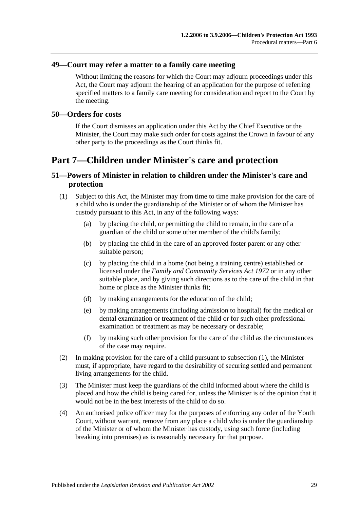#### <span id="page-28-0"></span>**49—Court may refer a matter to a family care meeting**

Without limiting the reasons for which the Court may adjourn proceedings under this Act, the Court may adjourn the hearing of an application for the purpose of referring specified matters to a family care meeting for consideration and report to the Court by the meeting.

#### <span id="page-28-1"></span>**50—Orders for costs**

If the Court dismisses an application under this Act by the Chief Executive or the Minister, the Court may make such order for costs against the Crown in favour of any other party to the proceedings as the Court thinks fit.

## <span id="page-28-2"></span>**Part 7—Children under Minister's care and protection**

## <span id="page-28-3"></span>**51—Powers of Minister in relation to children under the Minister's care and protection**

- <span id="page-28-4"></span>(1) Subject to this Act, the Minister may from time to time make provision for the care of a child who is under the guardianship of the Minister or of whom the Minister has custody pursuant to this Act, in any of the following ways:
	- (a) by placing the child, or permitting the child to remain, in the care of a guardian of the child or some other member of the child's family;
	- (b) by placing the child in the care of an approved foster parent or any other suitable person;
	- (c) by placing the child in a home (not being a training centre) established or licensed under the *[Family and Community Services Act](http://www.legislation.sa.gov.au/index.aspx?action=legref&type=act&legtitle=Family%20and%20Community%20Services%20Act%201972) 1972* or in any other suitable place, and by giving such directions as to the care of the child in that home or place as the Minister thinks fit;
	- (d) by making arrangements for the education of the child;
	- (e) by making arrangements (including admission to hospital) for the medical or dental examination or treatment of the child or for such other professional examination or treatment as may be necessary or desirable;
	- (f) by making such other provision for the care of the child as the circumstances of the case may require.
- (2) In making provision for the care of a child pursuant to [subsection](#page-28-4) (1), the Minister must, if appropriate, have regard to the desirability of securing settled and permanent living arrangements for the child.
- (3) The Minister must keep the guardians of the child informed about where the child is placed and how the child is being cared for, unless the Minister is of the opinion that it would not be in the best interests of the child to do so.
- (4) An authorised police officer may for the purposes of enforcing any order of the Youth Court, without warrant, remove from any place a child who is under the guardianship of the Minister or of whom the Minister has custody, using such force (including breaking into premises) as is reasonably necessary for that purpose.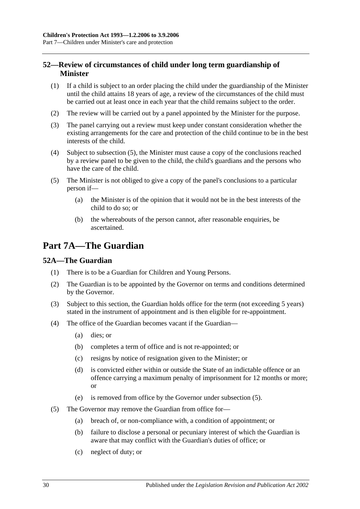## <span id="page-29-0"></span>**52—Review of circumstances of child under long term guardianship of Minister**

- (1) If a child is subject to an order placing the child under the guardianship of the Minister until the child attains 18 years of age, a review of the circumstances of the child must be carried out at least once in each year that the child remains subject to the order.
- (2) The review will be carried out by a panel appointed by the Minister for the purpose.
- (3) The panel carrying out a review must keep under constant consideration whether the existing arrangements for the care and protection of the child continue to be in the best interests of the child.
- (4) Subject to [subsection](#page-29-3) (5), the Minister must cause a copy of the conclusions reached by a review panel to be given to the child, the child's guardians and the persons who have the care of the child.
- <span id="page-29-3"></span>(5) The Minister is not obliged to give a copy of the panel's conclusions to a particular person if—
	- (a) the Minister is of the opinion that it would not be in the best interests of the child to do so; or
	- (b) the whereabouts of the person cannot, after reasonable enquiries, be ascertained.

## <span id="page-29-1"></span>**Part 7A—The Guardian**

## <span id="page-29-2"></span>**52A—The Guardian**

- (1) There is to be a Guardian for Children and Young Persons.
- (2) The Guardian is to be appointed by the Governor on terms and conditions determined by the Governor.
- (3) Subject to this section, the Guardian holds office for the term (not exceeding 5 years) stated in the instrument of appointment and is then eligible for re-appointment.
- (4) The office of the Guardian becomes vacant if the Guardian—
	- (a) dies; or
	- (b) completes a term of office and is not re-appointed; or
	- (c) resigns by notice of resignation given to the Minister; or
	- (d) is convicted either within or outside the State of an indictable offence or an offence carrying a maximum penalty of imprisonment for 12 months or more; or
	- (e) is removed from office by the Governor under [subsection](#page-29-4) (5).
- <span id="page-29-4"></span>(5) The Governor may remove the Guardian from office for—
	- (a) breach of, or non-compliance with, a condition of appointment; or
	- (b) failure to disclose a personal or pecuniary interest of which the Guardian is aware that may conflict with the Guardian's duties of office; or
	- (c) neglect of duty; or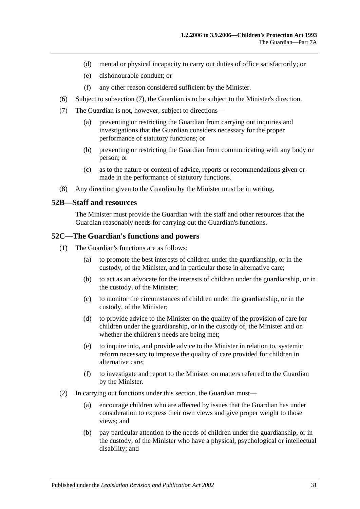- (d) mental or physical incapacity to carry out duties of office satisfactorily; or
- (e) dishonourable conduct; or
- (f) any other reason considered sufficient by the Minister.
- (6) Subject to [subsection](#page-30-2) (7), the Guardian is to be subject to the Minister's direction.
- <span id="page-30-2"></span>(7) The Guardian is not, however, subject to directions—
	- (a) preventing or restricting the Guardian from carrying out inquiries and investigations that the Guardian considers necessary for the proper performance of statutory functions; or
	- (b) preventing or restricting the Guardian from communicating with any body or person; or
	- (c) as to the nature or content of advice, reports or recommendations given or made in the performance of statutory functions.
- (8) Any direction given to the Guardian by the Minister must be in writing.

#### <span id="page-30-0"></span>**52B—Staff and resources**

The Minister must provide the Guardian with the staff and other resources that the Guardian reasonably needs for carrying out the Guardian's functions.

#### <span id="page-30-1"></span>**52C—The Guardian's functions and powers**

- (1) The Guardian's functions are as follows:
	- (a) to promote the best interests of children under the guardianship, or in the custody, of the Minister, and in particular those in alternative care;
	- (b) to act as an advocate for the interests of children under the guardianship, or in the custody, of the Minister;
	- (c) to monitor the circumstances of children under the guardianship, or in the custody, of the Minister;
	- (d) to provide advice to the Minister on the quality of the provision of care for children under the guardianship, or in the custody of, the Minister and on whether the children's needs are being met;
	- (e) to inquire into, and provide advice to the Minister in relation to, systemic reform necessary to improve the quality of care provided for children in alternative care;
	- (f) to investigate and report to the Minister on matters referred to the Guardian by the Minister.
- (2) In carrying out functions under this section, the Guardian must—
	- (a) encourage children who are affected by issues that the Guardian has under consideration to express their own views and give proper weight to those views; and
	- (b) pay particular attention to the needs of children under the guardianship, or in the custody, of the Minister who have a physical, psychological or intellectual disability; and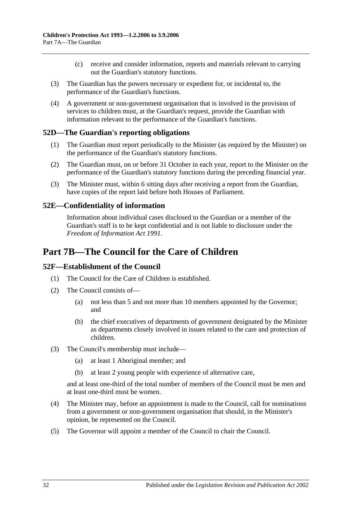- (c) receive and consider information, reports and materials relevant to carrying out the Guardian's statutory functions.
- (3) The Guardian has the powers necessary or expedient for, or incidental to, the performance of the Guardian's functions.
- (4) A government or non-government organisation that is involved in the provision of services to children must, at the Guardian's request, provide the Guardian with information relevant to the performance of the Guardian's functions.

## <span id="page-31-0"></span>**52D—The Guardian's reporting obligations**

- (1) The Guardian must report periodically to the Minister (as required by the Minister) on the performance of the Guardian's statutory functions.
- (2) The Guardian must, on or before 31 October in each year, report to the Minister on the performance of the Guardian's statutory functions during the preceding financial year.
- (3) The Minister must, within 6 sitting days after receiving a report from the Guardian, have copies of the report laid before both Houses of Parliament.

## <span id="page-31-1"></span>**52E—Confidentiality of information**

Information about individual cases disclosed to the Guardian or a member of the Guardian's staff is to be kept confidential and is not liable to disclosure under the *[Freedom of Information Act](http://www.legislation.sa.gov.au/index.aspx?action=legref&type=act&legtitle=Freedom%20of%20Information%20Act%201991) 1991*.

## <span id="page-31-2"></span>**Part 7B—The Council for the Care of Children**

## <span id="page-31-3"></span>**52F—Establishment of the Council**

- (1) The Council for the Care of Children is established.
- (2) The Council consists of—
	- (a) not less than 5 and not more than 10 members appointed by the Governor; and
	- (b) the chief executives of departments of government designated by the Minister as departments closely involved in issues related to the care and protection of children.
- (3) The Council's membership must include—
	- (a) at least 1 Aboriginal member; and
	- (b) at least 2 young people with experience of alternative care,

and at least one-third of the total number of members of the Council must be men and at least one-third must be women.

- (4) The Minister may, before an appointment is made to the Council, call for nominations from a government or non-government organisation that should, in the Minister's opinion, be represented on the Council.
- (5) The Governor will appoint a member of the Council to chair the Council.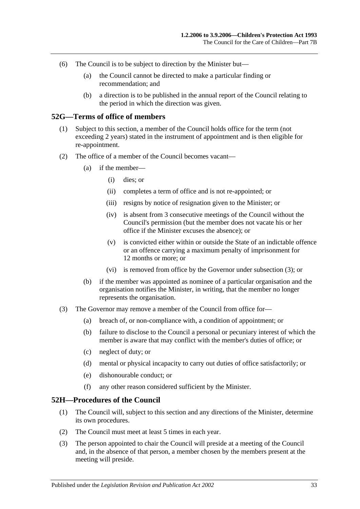- (6) The Council is to be subject to direction by the Minister but—
	- (a) the Council cannot be directed to make a particular finding or recommendation; and
	- (b) a direction is to be published in the annual report of the Council relating to the period in which the direction was given.

#### <span id="page-32-0"></span>**52G—Terms of office of members**

- (1) Subject to this section, a member of the Council holds office for the term (not exceeding 2 years) stated in the instrument of appointment and is then eligible for re-appointment.
- (2) The office of a member of the Council becomes vacant—
	- (a) if the member—
		- (i) dies; or
		- (ii) completes a term of office and is not re-appointed; or
		- (iii) resigns by notice of resignation given to the Minister; or
		- (iv) is absent from 3 consecutive meetings of the Council without the Council's permission (but the member does not vacate his or her office if the Minister excuses the absence); or
		- (v) is convicted either within or outside the State of an indictable offence or an offence carrying a maximum penalty of imprisonment for 12 months or more; or
		- (vi) is removed from office by the Governor under [subsection](#page-32-2) (3); or
	- (b) if the member was appointed as nominee of a particular organisation and the organisation notifies the Minister, in writing, that the member no longer represents the organisation.
- <span id="page-32-2"></span>(3) The Governor may remove a member of the Council from office for—
	- (a) breach of, or non-compliance with, a condition of appointment; or
	- (b) failure to disclose to the Council a personal or pecuniary interest of which the member is aware that may conflict with the member's duties of office; or
	- (c) neglect of duty; or
	- (d) mental or physical incapacity to carry out duties of office satisfactorily; or
	- (e) dishonourable conduct; or
	- (f) any other reason considered sufficient by the Minister.

#### <span id="page-32-1"></span>**52H—Procedures of the Council**

- (1) The Council will, subject to this section and any directions of the Minister, determine its own procedures.
- (2) The Council must meet at least 5 times in each year.
- (3) The person appointed to chair the Council will preside at a meeting of the Council and, in the absence of that person, a member chosen by the members present at the meeting will preside.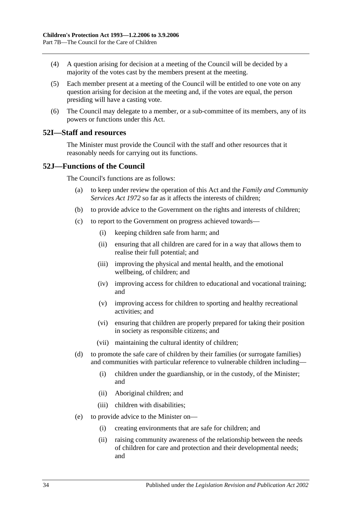- (4) A question arising for decision at a meeting of the Council will be decided by a majority of the votes cast by the members present at the meeting.
- (5) Each member present at a meeting of the Council will be entitled to one vote on any question arising for decision at the meeting and, if the votes are equal, the person presiding will have a casting vote.
- (6) The Council may delegate to a member, or a sub-committee of its members, any of its powers or functions under this Act.

#### <span id="page-33-0"></span>**52I—Staff and resources**

The Minister must provide the Council with the staff and other resources that it reasonably needs for carrying out its functions.

#### <span id="page-33-1"></span>**52J—Functions of the Council**

The Council's functions are as follows:

- (a) to keep under review the operation of this Act and the *[Family and Community](http://www.legislation.sa.gov.au/index.aspx?action=legref&type=act&legtitle=Family%20and%20Community%20Services%20Act%201972)  [Services Act](http://www.legislation.sa.gov.au/index.aspx?action=legref&type=act&legtitle=Family%20and%20Community%20Services%20Act%201972) 1972* so far as it affects the interests of children;
- (b) to provide advice to the Government on the rights and interests of children;
- (c) to report to the Government on progress achieved towards—
	- (i) keeping children safe from harm; and
	- (ii) ensuring that all children are cared for in a way that allows them to realise their full potential; and
	- (iii) improving the physical and mental health, and the emotional wellbeing, of children; and
	- (iv) improving access for children to educational and vocational training; and
	- (v) improving access for children to sporting and healthy recreational activities; and
	- (vi) ensuring that children are properly prepared for taking their position in society as responsible citizens; and
	- (vii) maintaining the cultural identity of children;
- (d) to promote the safe care of children by their families (or surrogate families) and communities with particular reference to vulnerable children including—
	- (i) children under the guardianship, or in the custody, of the Minister; and
	- (ii) Aboriginal children; and
	- (iii) children with disabilities;
- (e) to provide advice to the Minister on—
	- (i) creating environments that are safe for children; and
	- (ii) raising community awareness of the relationship between the needs of children for care and protection and their developmental needs; and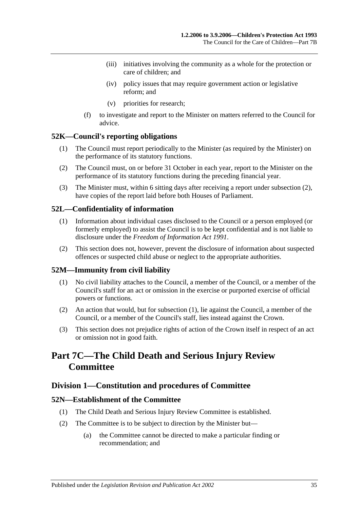- (iii) initiatives involving the community as a whole for the protection or care of children; and
- (iv) policy issues that may require government action or legislative reform; and
- (v) priorities for research;
- (f) to investigate and report to the Minister on matters referred to the Council for advice.

#### <span id="page-34-0"></span>**52K—Council's reporting obligations**

- (1) The Council must report periodically to the Minister (as required by the Minister) on the performance of its statutory functions.
- <span id="page-34-6"></span>(2) The Council must, on or before 31 October in each year, report to the Minister on the performance of its statutory functions during the preceding financial year.
- (3) The Minister must, within 6 sitting days after receiving a report under [subsection](#page-34-6) (2), have copies of the report laid before both Houses of Parliament.

#### <span id="page-34-1"></span>**52L—Confidentiality of information**

- (1) Information about individual cases disclosed to the Council or a person employed (or formerly employed) to assist the Council is to be kept confidential and is not liable to disclosure under the *[Freedom of Information Act](http://www.legislation.sa.gov.au/index.aspx?action=legref&type=act&legtitle=Freedom%20of%20Information%20Act%201991) 1991*.
- (2) This section does not, however, prevent the disclosure of information about suspected offences or suspected child abuse or neglect to the appropriate authorities.

#### <span id="page-34-7"></span><span id="page-34-2"></span>**52M—Immunity from civil liability**

- (1) No civil liability attaches to the Council, a member of the Council, or a member of the Council's staff for an act or omission in the exercise or purported exercise of official powers or functions.
- (2) An action that would, but for [subsection](#page-34-7) (1), lie against the Council, a member of the Council, or a member of the Council's staff, lies instead against the Crown.
- (3) This section does not prejudice rights of action of the Crown itself in respect of an act or omission not in good faith.

## <span id="page-34-3"></span>**Part 7C—The Child Death and Serious Injury Review Committee**

#### <span id="page-34-4"></span>**Division 1—Constitution and procedures of Committee**

#### <span id="page-34-5"></span>**52N—Establishment of the Committee**

- (1) The Child Death and Serious Injury Review Committee is established.
- (2) The Committee is to be subject to direction by the Minister but—
	- (a) the Committee cannot be directed to make a particular finding or recommendation; and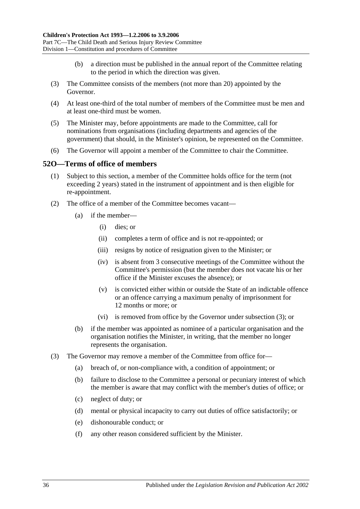- (b) a direction must be published in the annual report of the Committee relating to the period in which the direction was given.
- (3) The Committee consists of the members (not more than 20) appointed by the Governor.
- (4) At least one-third of the total number of members of the Committee must be men and at least one-third must be women.
- (5) The Minister may, before appointments are made to the Committee, call for nominations from organisations (including departments and agencies of the government) that should, in the Minister's opinion, be represented on the Committee.
- (6) The Governor will appoint a member of the Committee to chair the Committee.

#### <span id="page-35-0"></span>**52O—Terms of office of members**

- (1) Subject to this section, a member of the Committee holds office for the term (not exceeding 2 years) stated in the instrument of appointment and is then eligible for re-appointment.
- (2) The office of a member of the Committee becomes vacant—
	- (a) if the member—
		- (i) dies; or
		- (ii) completes a term of office and is not re-appointed; or
		- (iii) resigns by notice of resignation given to the Minister; or
		- (iv) is absent from 3 consecutive meetings of the Committee without the Committee's permission (but the member does not vacate his or her office if the Minister excuses the absence); or
		- (v) is convicted either within or outside the State of an indictable offence or an offence carrying a maximum penalty of imprisonment for 12 months or more; or
		- (vi) is removed from office by the Governor under [subsection](#page-35-1) (3); or
	- (b) if the member was appointed as nominee of a particular organisation and the organisation notifies the Minister, in writing, that the member no longer represents the organisation.
- <span id="page-35-1"></span>(3) The Governor may remove a member of the Committee from office for—
	- (a) breach of, or non-compliance with, a condition of appointment; or
	- (b) failure to disclose to the Committee a personal or pecuniary interest of which the member is aware that may conflict with the member's duties of office; or
	- (c) neglect of duty; or
	- (d) mental or physical incapacity to carry out duties of office satisfactorily; or
	- (e) dishonourable conduct; or
	- (f) any other reason considered sufficient by the Minister.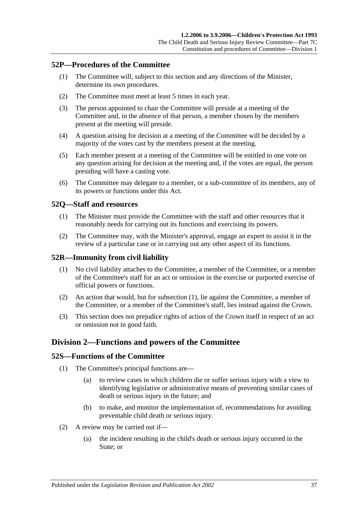## <span id="page-36-0"></span>**52P—Procedures of the Committee**

- (1) The Committee will, subject to this section and any directions of the Minister, determine its own procedures.
- (2) The Committee must meet at least 5 times in each year.
- (3) The person appointed to chair the Committee will preside at a meeting of the Committee and, in the absence of that person, a member chosen by the members present at the meeting will preside.
- (4) A question arising for decision at a meeting of the Committee will be decided by a majority of the votes cast by the members present at the meeting.
- (5) Each member present at a meeting of the Committee will be entitled to one vote on any question arising for decision at the meeting and, if the votes are equal, the person presiding will have a casting vote.
- (6) The Committee may delegate to a member, or a sub-committee of its members, any of its powers or functions under this Act.

## <span id="page-36-1"></span>**52Q—Staff and resources**

- (1) The Minister must provide the Committee with the staff and other resources that it reasonably needs for carrying out its functions and exercising its powers.
- (2) The Committee may, with the Minister's approval, engage an expert to assist it in the review of a particular case or in carrying out any other aspect of its functions.

## <span id="page-36-5"></span><span id="page-36-2"></span>**52R—Immunity from civil liability**

- (1) No civil liability attaches to the Committee, a member of the Committee, or a member of the Committee's staff for an act or omission in the exercise or purported exercise of official powers or functions.
- (2) An action that would, but for [subsection](#page-36-5) (1), lie against the Committee, a member of the Committee, or a member of the Committee's staff, lies instead against the Crown.
- (3) This section does not prejudice rights of action of the Crown itself in respect of an act or omission not in good faith.

## <span id="page-36-3"></span>**Division 2—Functions and powers of the Committee**

## <span id="page-36-4"></span>**52S—Functions of the Committee**

- (1) The Committee's principal functions are—
	- (a) to review cases in which children die or suffer serious injury with a view to identifying legislative or administrative means of preventing similar cases of death or serious injury in the future; and
	- (b) to make, and monitor the implementation of, recommendations for avoiding preventable child death or serious injury.
- (2) A review may be carried out if—
	- (a) the incident resulting in the child's death or serious injury occurred in the State; or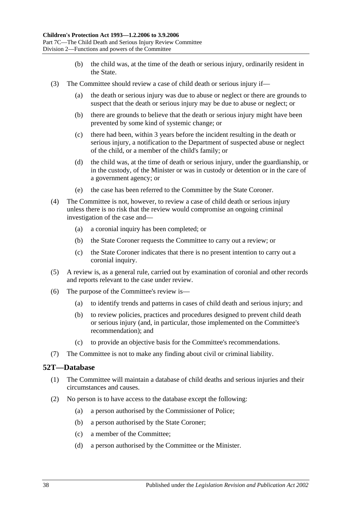- (b) the child was, at the time of the death or serious injury, ordinarily resident in the State.
- (3) The Committee should review a case of child death or serious injury if—
	- (a) the death or serious injury was due to abuse or neglect or there are grounds to suspect that the death or serious injury may be due to abuse or neglect; or
	- (b) there are grounds to believe that the death or serious injury might have been prevented by some kind of systemic change; or
	- (c) there had been, within 3 years before the incident resulting in the death or serious injury, a notification to the Department of suspected abuse or neglect of the child, or a member of the child's family; or
	- (d) the child was, at the time of death or serious injury, under the guardianship, or in the custody, of the Minister or was in custody or detention or in the care of a government agency; or
	- (e) the case has been referred to the Committee by the State Coroner.
- (4) The Committee is not, however, to review a case of child death or serious injury unless there is no risk that the review would compromise an ongoing criminal investigation of the case and—
	- (a) a coronial inquiry has been completed; or
	- (b) the State Coroner requests the Committee to carry out a review; or
	- (c) the State Coroner indicates that there is no present intention to carry out a coronial inquiry.
- (5) A review is, as a general rule, carried out by examination of coronial and other records and reports relevant to the case under review.
- (6) The purpose of the Committee's review is—
	- (a) to identify trends and patterns in cases of child death and serious injury; and
	- (b) to review policies, practices and procedures designed to prevent child death or serious injury (and, in particular, those implemented on the Committee's recommendation); and
	- (c) to provide an objective basis for the Committee's recommendations.
- (7) The Committee is not to make any finding about civil or criminal liability.

#### <span id="page-37-0"></span>**52T—Database**

- (1) The Committee will maintain a database of child deaths and serious injuries and their circumstances and causes.
- (2) No person is to have access to the database except the following:
	- (a) a person authorised by the Commissioner of Police;
	- (b) a person authorised by the State Coroner;
	- (c) a member of the Committee;
	- (d) a person authorised by the Committee or the Minister.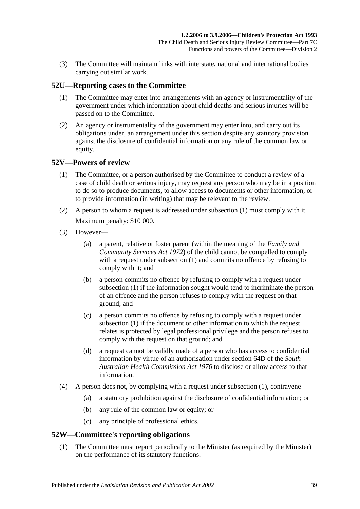(3) The Committee will maintain links with interstate, national and international bodies carrying out similar work.

## <span id="page-38-0"></span>**52U—Reporting cases to the Committee**

- (1) The Committee may enter into arrangements with an agency or instrumentality of the government under which information about child deaths and serious injuries will be passed on to the Committee.
- (2) An agency or instrumentality of the government may enter into, and carry out its obligations under, an arrangement under this section despite any statutory provision against the disclosure of confidential information or any rule of the common law or equity.

## <span id="page-38-3"></span><span id="page-38-1"></span>**52V—Powers of review**

- (1) The Committee, or a person authorised by the Committee to conduct a review of a case of child death or serious injury, may request any person who may be in a position to do so to produce documents, to allow access to documents or other information, or to provide information (in writing) that may be relevant to the review.
- (2) A person to whom a request is addressed under [subsection](#page-38-3) (1) must comply with it. Maximum penalty: \$10 000.
- (3) However—
	- (a) a parent, relative or foster parent (within the meaning of the *[Family and](http://www.legislation.sa.gov.au/index.aspx?action=legref&type=act&legtitle=Family%20and%20Community%20Services%20Act%201972)  [Community Services Act](http://www.legislation.sa.gov.au/index.aspx?action=legref&type=act&legtitle=Family%20and%20Community%20Services%20Act%201972) 1972*) of the child cannot be compelled to comply with a request under [subsection](#page-38-3) (1) and commits no offence by refusing to comply with it; and
	- (b) a person commits no offence by refusing to comply with a request under [subsection](#page-38-3) (1) if the information sought would tend to incriminate the person of an offence and the person refuses to comply with the request on that ground; and
	- (c) a person commits no offence by refusing to comply with a request under [subsection](#page-38-3) (1) if the document or other information to which the request relates is protected by legal professional privilege and the person refuses to comply with the request on that ground; and
	- (d) a request cannot be validly made of a person who has access to confidential information by virtue of an authorisation under section 64D of the *[South](http://www.legislation.sa.gov.au/index.aspx?action=legref&type=act&legtitle=South%20Australian%20Health%20Commission%20Act%201976)  [Australian Health Commission Act](http://www.legislation.sa.gov.au/index.aspx?action=legref&type=act&legtitle=South%20Australian%20Health%20Commission%20Act%201976) 1976* to disclose or allow access to that information.
- (4) A person does not, by complying with a request under [subsection](#page-38-3) (1), contravene—
	- (a) a statutory prohibition against the disclosure of confidential information; or
	- (b) any rule of the common law or equity; or
	- (c) any principle of professional ethics.

## <span id="page-38-2"></span>**52W—Committee's reporting obligations**

(1) The Committee must report periodically to the Minister (as required by the Minister) on the performance of its statutory functions.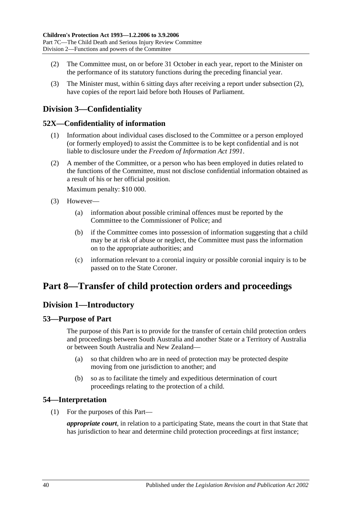- <span id="page-39-6"></span>(2) The Committee must, on or before 31 October in each year, report to the Minister on the performance of its statutory functions during the preceding financial year.
- (3) The Minister must, within 6 sitting days after receiving a report under [subsection](#page-39-6) (2), have copies of the report laid before both Houses of Parliament.

## <span id="page-39-0"></span>**Division 3—Confidentiality**

## <span id="page-39-1"></span>**52X—Confidentiality of information**

- (1) Information about individual cases disclosed to the Committee or a person employed (or formerly employed) to assist the Committee is to be kept confidential and is not liable to disclosure under the *[Freedom of Information Act](http://www.legislation.sa.gov.au/index.aspx?action=legref&type=act&legtitle=Freedom%20of%20Information%20Act%201991) 1991*.
- (2) A member of the Committee, or a person who has been employed in duties related to the functions of the Committee, must not disclose confidential information obtained as a result of his or her official position.

Maximum penalty: \$10 000.

- (3) However—
	- (a) information about possible criminal offences must be reported by the Committee to the Commissioner of Police; and
	- (b) if the Committee comes into possession of information suggesting that a child may be at risk of abuse or neglect, the Committee must pass the information on to the appropriate authorities; and
	- (c) information relevant to a coronial inquiry or possible coronial inquiry is to be passed on to the State Coroner.

## <span id="page-39-2"></span>**Part 8—Transfer of child protection orders and proceedings**

## <span id="page-39-3"></span>**Division 1—Introductory**

## <span id="page-39-4"></span>**53—Purpose of Part**

The purpose of this Part is to provide for the transfer of certain child protection orders and proceedings between South Australia and another State or a Territory of Australia or between South Australia and New Zealand—

- (a) so that children who are in need of protection may be protected despite moving from one jurisdiction to another; and
- (b) so as to facilitate the timely and expeditious determination of court proceedings relating to the protection of a child.

## <span id="page-39-5"></span>**54—Interpretation**

(1) For the purposes of this Part—

*appropriate court*, in relation to a participating State, means the court in that State that has jurisdiction to hear and determine child protection proceedings at first instance;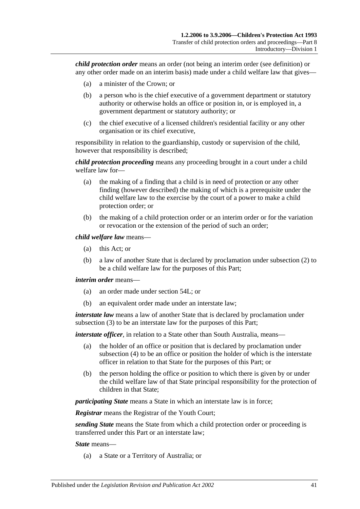*child protection order* means an order (not being an interim order (see definition) or any other order made on an interim basis) made under a child welfare law that gives—

- (a) a minister of the Crown; or
- (b) a person who is the chief executive of a government department or statutory authority or otherwise holds an office or position in, or is employed in, a government department or statutory authority; or
- (c) the chief executive of a licensed children's residential facility or any other organisation or its chief executive,

responsibility in relation to the guardianship, custody or supervision of the child, however that responsibility is described;

*child protection proceeding* means any proceeding brought in a court under a child welfare law for—

- (a) the making of a finding that a child is in need of protection or any other finding (however described) the making of which is a prerequisite under the child welfare law to the exercise by the court of a power to make a child protection order; or
- (b) the making of a child protection order or an interim order or for the variation or revocation or the extension of the period of such an order;

*child welfare law* means—

- (a) this Act; or
- (b) a law of another State that is declared by proclamation under [subsection](#page-41-2) (2) to be a child welfare law for the purposes of this Part;

#### *interim order* means—

- (a) an order made under [section](#page-46-0) 54L; or
- (b) an equivalent order made under an interstate law;

*interstate law* means a law of another State that is declared by proclamation under [subsection](#page-41-3) (3) to be an interstate law for the purposes of this Part;

*interstate officer*, in relation to a State other than South Australia, means—

- (a) the holder of an office or position that is declared by proclamation under [subsection](#page-41-4) (4) to be an office or position the holder of which is the interstate officer in relation to that State for the purposes of this Part; or
- (b) the person holding the office or position to which there is given by or under the child welfare law of that State principal responsibility for the protection of children in that State;

*participating State* means a State in which an interstate law is in force;

*Registrar* means the Registrar of the Youth Court;

*sending State* means the State from which a child protection order or proceeding is transferred under this Part or an interstate law;

*State* means—

(a) a State or a Territory of Australia; or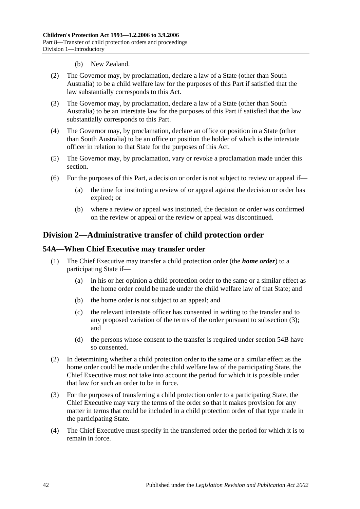- (b) New Zealand.
- <span id="page-41-2"></span>(2) The Governor may, by proclamation, declare a law of a State (other than South Australia) to be a child welfare law for the purposes of this Part if satisfied that the law substantially corresponds to this Act.
- <span id="page-41-3"></span>(3) The Governor may, by proclamation, declare a law of a State (other than South Australia) to be an interstate law for the purposes of this Part if satisfied that the law substantially corresponds to this Part.
- <span id="page-41-4"></span>(4) The Governor may, by proclamation, declare an office or position in a State (other than South Australia) to be an office or position the holder of which is the interstate officer in relation to that State for the purposes of this Act.
- (5) The Governor may, by proclamation, vary or revoke a proclamation made under this section.
- (6) For the purposes of this Part, a decision or order is not subject to review or appeal if—
	- (a) the time for instituting a review of or appeal against the decision or order has expired; or
	- (b) where a review or appeal was instituted, the decision or order was confirmed on the review or appeal or the review or appeal was discontinued.

## <span id="page-41-0"></span>**Division 2—Administrative transfer of child protection order**

## <span id="page-41-1"></span>**54A—When Chief Executive may transfer order**

- (1) The Chief Executive may transfer a child protection order (the *home order*) to a participating State if—
	- (a) in his or her opinion a child protection order to the same or a similar effect as the home order could be made under the child welfare law of that State; and
	- (b) the home order is not subject to an appeal; and
	- (c) the relevant interstate officer has consented in writing to the transfer and to any proposed variation of the terms of the order pursuant to [subsection](#page-41-5) (3); and
	- (d) the persons whose consent to the transfer is required under [section](#page-42-0) 54B have so consented.
- <span id="page-41-6"></span>(2) In determining whether a child protection order to the same or a similar effect as the home order could be made under the child welfare law of the participating State, the Chief Executive must not take into account the period for which it is possible under that law for such an order to be in force.
- <span id="page-41-5"></span>(3) For the purposes of transferring a child protection order to a participating State, the Chief Executive may vary the terms of the order so that it makes provision for any matter in terms that could be included in a child protection order of that type made in the participating State.
- (4) The Chief Executive must specify in the transferred order the period for which it is to remain in force.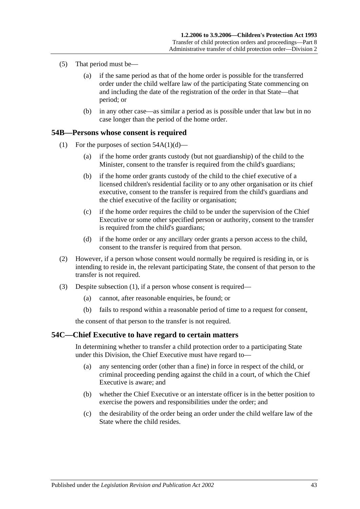- (5) That period must be—
	- (a) if the same period as that of the home order is possible for the transferred order under the child welfare law of the participating State commencing on and including the date of the registration of the order in that State—that period; or
	- (b) in any other case—as similar a period as is possible under that law but in no case longer than the period of the home order.

#### <span id="page-42-2"></span><span id="page-42-0"></span>**54B—Persons whose consent is required**

- (1) For the purposes of section  $54A(1)(d)$ 
	- (a) if the home order grants custody (but not guardianship) of the child to the Minister, consent to the transfer is required from the child's guardians;
	- (b) if the home order grants custody of the child to the chief executive of a licensed children's residential facility or to any other organisation or its chief executive, consent to the transfer is required from the child's guardians and the chief executive of the facility or organisation;
	- (c) if the home order requires the child to be under the supervision of the Chief Executive or some other specified person or authority, consent to the transfer is required from the child's guardians;
	- (d) if the home order or any ancillary order grants a person access to the child, consent to the transfer is required from that person.
- (2) However, if a person whose consent would normally be required is residing in, or is intending to reside in, the relevant participating State, the consent of that person to the transfer is not required.
- (3) Despite [subsection](#page-42-2) (1), if a person whose consent is required—
	- (a) cannot, after reasonable enquiries, be found; or
	- (b) fails to respond within a reasonable period of time to a request for consent,

the consent of that person to the transfer is not required.

#### <span id="page-42-1"></span>**54C—Chief Executive to have regard to certain matters**

In determining whether to transfer a child protection order to a participating State under this Division, the Chief Executive must have regard to—

- (a) any sentencing order (other than a fine) in force in respect of the child, or criminal proceeding pending against the child in a court, of which the Chief Executive is aware; and
- (b) whether the Chief Executive or an interstate officer is in the better position to exercise the powers and responsibilities under the order; and
- (c) the desirability of the order being an order under the child welfare law of the State where the child resides.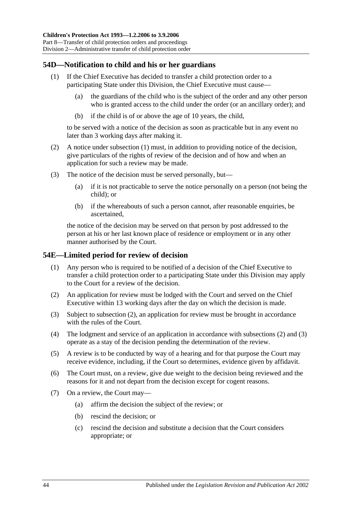## <span id="page-43-2"></span><span id="page-43-0"></span>**54D—Notification to child and his or her guardians**

- (1) If the Chief Executive has decided to transfer a child protection order to a participating State under this Division, the Chief Executive must cause—
	- (a) the guardians of the child who is the subject of the order and any other person who is granted access to the child under the order (or an ancillary order); and
	- (b) if the child is of or above the age of 10 years, the child,

to be served with a notice of the decision as soon as practicable but in any event no later than 3 working days after making it.

- (2) A notice under [subsection](#page-43-2) (1) must, in addition to providing notice of the decision, give particulars of the rights of review of the decision and of how and when an application for such a review may be made.
- (3) The notice of the decision must be served personally, but—
	- (a) if it is not practicable to serve the notice personally on a person (not being the child); or
	- (b) if the whereabouts of such a person cannot, after reasonable enquiries, be ascertained,

the notice of the decision may be served on that person by post addressed to the person at his or her last known place of residence or employment or in any other manner authorised by the Court.

#### <span id="page-43-1"></span>**54E—Limited period for review of decision**

- (1) Any person who is required to be notified of a decision of the Chief Executive to transfer a child protection order to a participating State under this Division may apply to the Court for a review of the decision.
- <span id="page-43-3"></span>(2) An application for review must be lodged with the Court and served on the Chief Executive within 13 working days after the day on which the decision is made.
- <span id="page-43-4"></span>(3) Subject to [subsection](#page-43-3) (2), an application for review must be brought in accordance with the rules of the Court.
- (4) The lodgment and service of an application in accordance with [subsections](#page-43-3) (2) and [\(3\)](#page-43-4) operate as a stay of the decision pending the determination of the review.
- (5) A review is to be conducted by way of a hearing and for that purpose the Court may receive evidence, including, if the Court so determines, evidence given by affidavit.
- (6) The Court must, on a review, give due weight to the decision being reviewed and the reasons for it and not depart from the decision except for cogent reasons.
- (7) On a review, the Court may—
	- (a) affirm the decision the subject of the review; or
	- (b) rescind the decision; or
	- (c) rescind the decision and substitute a decision that the Court considers appropriate; or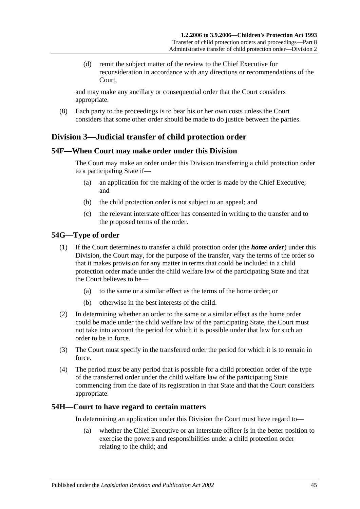(d) remit the subject matter of the review to the Chief Executive for reconsideration in accordance with any directions or recommendations of the Court,

and may make any ancillary or consequential order that the Court considers appropriate.

(8) Each party to the proceedings is to bear his or her own costs unless the Court considers that some other order should be made to do justice between the parties.

## <span id="page-44-0"></span>**Division 3—Judicial transfer of child protection order**

## <span id="page-44-1"></span>**54F—When Court may make order under this Division**

The Court may make an order under this Division transferring a child protection order to a participating State if—

- (a) an application for the making of the order is made by the Chief Executive; and
- (b) the child protection order is not subject to an appeal; and
- (c) the relevant interstate officer has consented in writing to the transfer and to the proposed terms of the order.

## <span id="page-44-2"></span>**54G—Type of order**

- (1) If the Court determines to transfer a child protection order (the *home order*) under this Division, the Court may, for the purpose of the transfer, vary the terms of the order so that it makes provision for any matter in terms that could be included in a child protection order made under the child welfare law of the participating State and that the Court believes to be—
	- (a) to the same or a similar effect as the terms of the home order; or
	- (b) otherwise in the best interests of the child.
- (2) In determining whether an order to the same or a similar effect as the home order could be made under the child welfare law of the participating State, the Court must not take into account the period for which it is possible under that law for such an order to be in force.
- (3) The Court must specify in the transferred order the period for which it is to remain in force.
- (4) The period must be any period that is possible for a child protection order of the type of the transferred order under the child welfare law of the participating State commencing from the date of its registration in that State and that the Court considers appropriate.

## <span id="page-44-3"></span>**54H—Court to have regard to certain matters**

In determining an application under this Division the Court must have regard to—

(a) whether the Chief Executive or an interstate officer is in the better position to exercise the powers and responsibilities under a child protection order relating to the child; and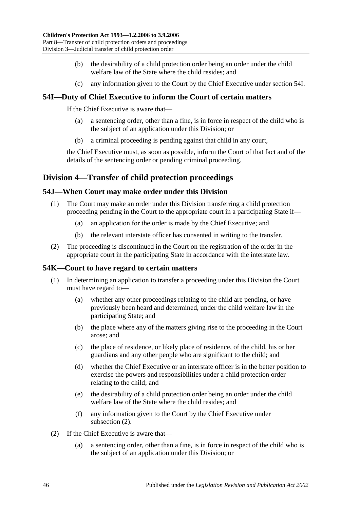- (b) the desirability of a child protection order being an order under the child welfare law of the State where the child resides; and
- (c) any information given to the Court by the Chief Executive under [section](#page-45-0) 54I.

## <span id="page-45-0"></span>**54I—Duty of Chief Executive to inform the Court of certain matters**

If the Chief Executive is aware that—

- (a) a sentencing order, other than a fine, is in force in respect of the child who is the subject of an application under this Division; or
- (b) a criminal proceeding is pending against that child in any court,

the Chief Executive must, as soon as possible, inform the Court of that fact and of the details of the sentencing order or pending criminal proceeding.

## <span id="page-45-1"></span>**Division 4—Transfer of child protection proceedings**

## <span id="page-45-2"></span>**54J—When Court may make order under this Division**

- (1) The Court may make an order under this Division transferring a child protection proceeding pending in the Court to the appropriate court in a participating State if—
	- (a) an application for the order is made by the Chief Executive; and
	- (b) the relevant interstate officer has consented in writing to the transfer.
- (2) The proceeding is discontinued in the Court on the registration of the order in the appropriate court in the participating State in accordance with the interstate law.

## <span id="page-45-3"></span>**54K—Court to have regard to certain matters**

- (1) In determining an application to transfer a proceeding under this Division the Court must have regard to—
	- (a) whether any other proceedings relating to the child are pending, or have previously been heard and determined, under the child welfare law in the participating State; and
	- (b) the place where any of the matters giving rise to the proceeding in the Court arose; and
	- (c) the place of residence, or likely place of residence, of the child, his or her guardians and any other people who are significant to the child; and
	- (d) whether the Chief Executive or an interstate officer is in the better position to exercise the powers and responsibilities under a child protection order relating to the child; and
	- (e) the desirability of a child protection order being an order under the child welfare law of the State where the child resides; and
	- (f) any information given to the Court by the Chief Executive under [subsection](#page-45-4) (2).
- <span id="page-45-4"></span>(2) If the Chief Executive is aware that—
	- (a) a sentencing order, other than a fine, is in force in respect of the child who is the subject of an application under this Division; or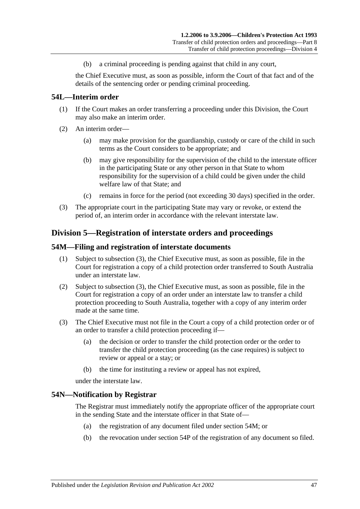(b) a criminal proceeding is pending against that child in any court,

the Chief Executive must, as soon as possible, inform the Court of that fact and of the details of the sentencing order or pending criminal proceeding.

## <span id="page-46-0"></span>**54L—Interim order**

- (1) If the Court makes an order transferring a proceeding under this Division, the Court may also make an interim order.
- (2) An interim order—
	- (a) may make provision for the guardianship, custody or care of the child in such terms as the Court considers to be appropriate; and
	- (b) may give responsibility for the supervision of the child to the interstate officer in the participating State or any other person in that State to whom responsibility for the supervision of a child could be given under the child welfare law of that State; and
	- (c) remains in force for the period (not exceeding 30 days) specified in the order.
- (3) The appropriate court in the participating State may vary or revoke, or extend the period of, an interim order in accordance with the relevant interstate law.

## <span id="page-46-1"></span>**Division 5—Registration of interstate orders and proceedings**

#### <span id="page-46-2"></span>**54M—Filing and registration of interstate documents**

- (1) Subject to [subsection](#page-46-4) (3), the Chief Executive must, as soon as possible, file in the Court for registration a copy of a child protection order transferred to South Australia under an interstate law.
- (2) Subject to [subsection](#page-46-4) (3), the Chief Executive must, as soon as possible, file in the Court for registration a copy of an order under an interstate law to transfer a child protection proceeding to South Australia, together with a copy of any interim order made at the same time.
- <span id="page-46-4"></span>(3) The Chief Executive must not file in the Court a copy of a child protection order or of an order to transfer a child protection proceeding if—
	- (a) the decision or order to transfer the child protection order or the order to transfer the child protection proceeding (as the case requires) is subject to review or appeal or a stay; or
	- (b) the time for instituting a review or appeal has not expired,

under the interstate law.

#### <span id="page-46-3"></span>**54N—Notification by Registrar**

The Registrar must immediately notify the appropriate officer of the appropriate court in the sending State and the interstate officer in that State of—

- (a) the registration of any document filed under [section](#page-46-2) 54M; or
- (b) the revocation under [section](#page-47-1) 54P of the registration of any document so filed.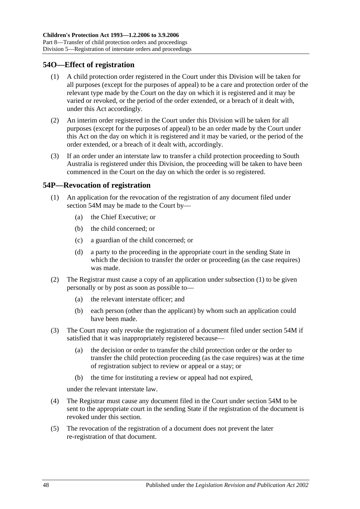## <span id="page-47-0"></span>**54O—Effect of registration**

- (1) A child protection order registered in the Court under this Division will be taken for all purposes (except for the purposes of appeal) to be a care and protection order of the relevant type made by the Court on the day on which it is registered and it may be varied or revoked, or the period of the order extended, or a breach of it dealt with, under this Act accordingly.
- (2) An interim order registered in the Court under this Division will be taken for all purposes (except for the purposes of appeal) to be an order made by the Court under this Act on the day on which it is registered and it may be varied, or the period of the order extended, or a breach of it dealt with, accordingly.
- (3) If an order under an interstate law to transfer a child protection proceeding to South Australia is registered under this Division, the proceeding will be taken to have been commenced in the Court on the day on which the order is so registered.

## <span id="page-47-2"></span><span id="page-47-1"></span>**54P—Revocation of registration**

- (1) An application for the revocation of the registration of any document filed under [section](#page-46-2) 54M may be made to the Court by—
	- (a) the Chief Executive; or
	- (b) the child concerned; or
	- (c) a guardian of the child concerned; or
	- (d) a party to the proceeding in the appropriate court in the sending State in which the decision to transfer the order or proceeding (as the case requires) was made.
- (2) The Registrar must cause a copy of an application under [subsection](#page-47-2) (1) to be given personally or by post as soon as possible to—
	- (a) the relevant interstate officer; and
	- (b) each person (other than the applicant) by whom such an application could have been made.
- (3) The Court may only revoke the registration of a document filed under [section](#page-46-2) 54M if satisfied that it was inappropriately registered because—
	- (a) the decision or order to transfer the child protection order or the order to transfer the child protection proceeding (as the case requires) was at the time of registration subject to review or appeal or a stay; or
	- (b) the time for instituting a review or appeal had not expired,

under the relevant interstate law.

- (4) The Registrar must cause any document filed in the Court under [section](#page-46-2) 54M to be sent to the appropriate court in the sending State if the registration of the document is revoked under this section.
- (5) The revocation of the registration of a document does not prevent the later re-registration of that document.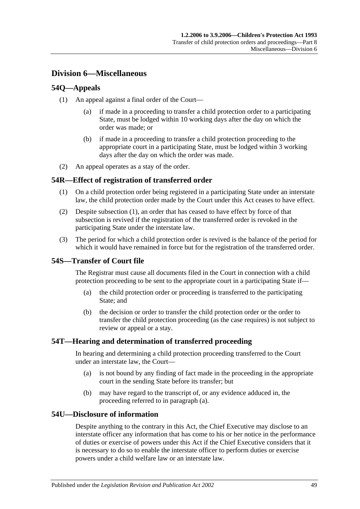## <span id="page-48-0"></span>**Division 6—Miscellaneous**

## <span id="page-48-1"></span>**54Q—Appeals**

- (1) An appeal against a final order of the Court—
	- (a) if made in a proceeding to transfer a child protection order to a participating State, must be lodged within 10 working days after the day on which the order was made; or
	- (b) if made in a proceeding to transfer a child protection proceeding to the appropriate court in a participating State, must be lodged within 3 working days after the day on which the order was made.
- (2) An appeal operates as a stay of the order.

## <span id="page-48-6"></span><span id="page-48-2"></span>**54R—Effect of registration of transferred order**

- (1) On a child protection order being registered in a participating State under an interstate law, the child protection order made by the Court under this Act ceases to have effect.
- (2) Despite [subsection](#page-48-6) (1), an order that has ceased to have effect by force of that subsection is revived if the registration of the transferred order is revoked in the participating State under the interstate law.
- (3) The period for which a child protection order is revived is the balance of the period for which it would have remained in force but for the registration of the transferred order.

## <span id="page-48-3"></span>**54S—Transfer of Court file**

The Registrar must cause all documents filed in the Court in connection with a child protection proceeding to be sent to the appropriate court in a participating State if—

- (a) the child protection order or proceeding is transferred to the participating State; and
- (b) the decision or order to transfer the child protection order or the order to transfer the child protection proceeding (as the case requires) is not subject to review or appeal or a stay.

## <span id="page-48-7"></span><span id="page-48-4"></span>**54T—Hearing and determination of transferred proceeding**

In hearing and determining a child protection proceeding transferred to the Court under an interstate law, the Court—

- (a) is not bound by any finding of fact made in the proceeding in the appropriate court in the sending State before its transfer; but
- (b) may have regard to the transcript of, or any evidence adduced in, the proceeding referred to in [paragraph](#page-48-7) (a).

## <span id="page-48-5"></span>**54U—Disclosure of information**

Despite anything to the contrary in this Act, the Chief Executive may disclose to an interstate officer any information that has come to his or her notice in the performance of duties or exercise of powers under this Act if the Chief Executive considers that it is necessary to do so to enable the interstate officer to perform duties or exercise powers under a child welfare law or an interstate law.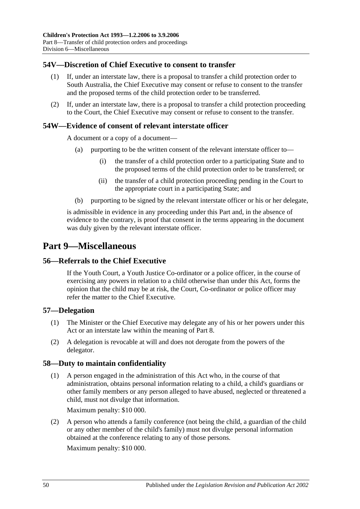## <span id="page-49-0"></span>**54V—Discretion of Chief Executive to consent to transfer**

- (1) If, under an interstate law, there is a proposal to transfer a child protection order to South Australia, the Chief Executive may consent or refuse to consent to the transfer and the proposed terms of the child protection order to be transferred.
- (2) If, under an interstate law, there is a proposal to transfer a child protection proceeding to the Court, the Chief Executive may consent or refuse to consent to the transfer.

## <span id="page-49-1"></span>**54W—Evidence of consent of relevant interstate officer**

A document or a copy of a document—

- (a) purporting to be the written consent of the relevant interstate officer to—
	- (i) the transfer of a child protection order to a participating State and to the proposed terms of the child protection order to be transferred; or
	- (ii) the transfer of a child protection proceeding pending in the Court to the appropriate court in a participating State; and
- (b) purporting to be signed by the relevant interstate officer or his or her delegate,

is admissible in evidence in any proceeding under this Part and, in the absence of evidence to the contrary, is proof that consent in the terms appearing in the document was duly given by the relevant interstate officer.

## <span id="page-49-2"></span>**Part 9—Miscellaneous**

#### <span id="page-49-3"></span>**56—Referrals to the Chief Executive**

If the Youth Court, a Youth Justice Co-ordinator or a police officer, in the course of exercising any powers in relation to a child otherwise than under this Act, forms the opinion that the child may be at risk, the Court, Co-ordinator or police officer may refer the matter to the Chief Executive.

## <span id="page-49-4"></span>**57—Delegation**

- (1) The Minister or the Chief Executive may delegate any of his or her powers under this Act or an interstate law within the meaning of [Part 8.](#page-39-2)
- (2) A delegation is revocable at will and does not derogate from the powers of the delegator.

## <span id="page-49-5"></span>**58—Duty to maintain confidentiality**

(1) A person engaged in the administration of this Act who, in the course of that administration, obtains personal information relating to a child, a child's guardians or other family members or any person alleged to have abused, neglected or threatened a child, must not divulge that information.

Maximum penalty: \$10 000.

(2) A person who attends a family conference (not being the child, a guardian of the child or any other member of the child's family) must not divulge personal information obtained at the conference relating to any of those persons.

Maximum penalty: \$10 000.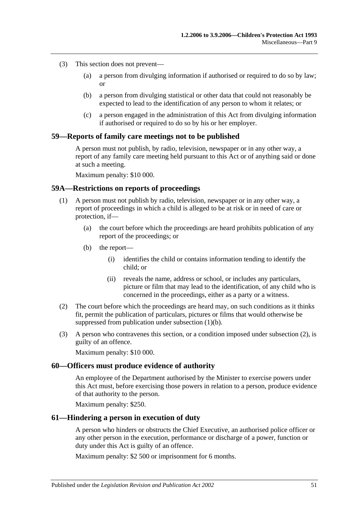- (3) This section does not prevent—
	- (a) a person from divulging information if authorised or required to do so by law; or
	- (b) a person from divulging statistical or other data that could not reasonably be expected to lead to the identification of any person to whom it relates; or
	- (c) a person engaged in the administration of this Act from divulging information if authorised or required to do so by his or her employer.

#### <span id="page-50-0"></span>**59—Reports of family care meetings not to be published**

A person must not publish, by radio, television, newspaper or in any other way, a report of any family care meeting held pursuant to this Act or of anything said or done at such a meeting.

Maximum penalty: \$10 000.

#### <span id="page-50-1"></span>**59A—Restrictions on reports of proceedings**

- <span id="page-50-4"></span>(1) A person must not publish by radio, television, newspaper or in any other way, a report of proceedings in which a child is alleged to be at risk or in need of care or protection, if—
	- (a) the court before which the proceedings are heard prohibits publication of any report of the proceedings; or
	- (b) the report—
		- (i) identifies the child or contains information tending to identify the child; or
		- (ii) reveals the name, address or school, or includes any particulars, picture or film that may lead to the identification, of any child who is concerned in the proceedings, either as a party or a witness.
- <span id="page-50-5"></span>(2) The court before which the proceedings are heard may, on such conditions as it thinks fit, permit the publication of particulars, pictures or films that would otherwise be suppressed from publication under [subsection](#page-50-4) (1)(b).
- (3) A person who contravenes this section, or a condition imposed under [subsection](#page-50-5) (2), is guilty of an offence.

Maximum penalty: \$10 000.

#### <span id="page-50-2"></span>**60—Officers must produce evidence of authority**

An employee of the Department authorised by the Minister to exercise powers under this Act must, before exercising those powers in relation to a person, produce evidence of that authority to the person.

Maximum penalty: \$250.

#### <span id="page-50-3"></span>**61—Hindering a person in execution of duty**

A person who hinders or obstructs the Chief Executive, an authorised police officer or any other person in the execution, performance or discharge of a power, function or duty under this Act is guilty of an offence.

Maximum penalty: \$2 500 or imprisonment for 6 months.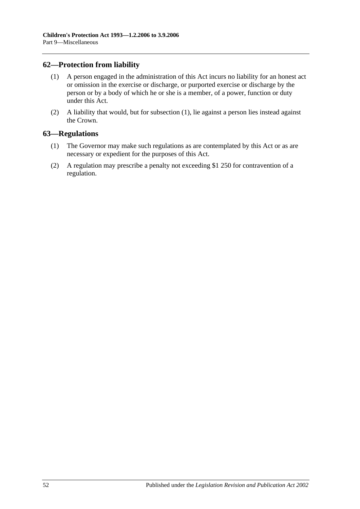## <span id="page-51-2"></span><span id="page-51-0"></span>**62—Protection from liability**

- (1) A person engaged in the administration of this Act incurs no liability for an honest act or omission in the exercise or discharge, or purported exercise or discharge by the person or by a body of which he or she is a member, of a power, function or duty under this Act.
- (2) A liability that would, but for [subsection](#page-51-2) (1), lie against a person lies instead against the Crown.

## <span id="page-51-1"></span>**63—Regulations**

- (1) The Governor may make such regulations as are contemplated by this Act or as are necessary or expedient for the purposes of this Act.
- (2) A regulation may prescribe a penalty not exceeding \$1 250 for contravention of a regulation.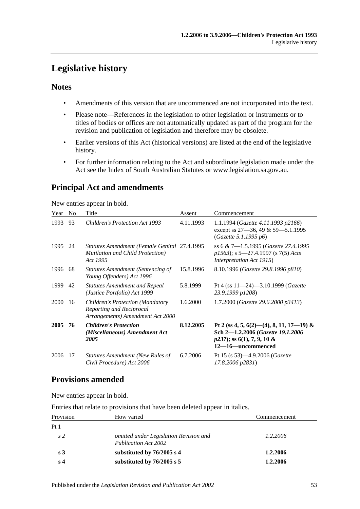## <span id="page-52-0"></span>**Legislative history**

## **Notes**

- Amendments of this version that are uncommenced are not incorporated into the text.
- Please note—References in the legislation to other legislation or instruments or to titles of bodies or offices are not automatically updated as part of the program for the revision and publication of legislation and therefore may be obsolete.
- Earlier versions of this Act (historical versions) are listed at the end of the legislative history.
- For further information relating to the Act and subordinate legislation made under the Act see the Index of South Australian Statutes or www.legislation.sa.gov.au.

## **Principal Act and amendments**

New entries appear in bold.

| Year        | N <sub>0</sub> | Title                                                                                                   | Assent    | Commencement                                                                                                                       |
|-------------|----------------|---------------------------------------------------------------------------------------------------------|-----------|------------------------------------------------------------------------------------------------------------------------------------|
| 1993        | 93             | <b>Children's Protection Act 1993</b>                                                                   | 4.11.1993 | 1.1.1994 (Gazette 4.11.1993 p2166)<br>except ss $27-36$ , 49 & 59-5.1.1995<br>(Gazette 5.1.1995 p6)                                |
| 1995        | 24             | Statutes Amendment (Female Genital 27.4.1995<br><b>Mutilation and Child Protection</b> )<br>Act 1995    |           | ss 6 & 7-1.5.1995 (Gazette 27.4.1995)<br>$p1563$ ; s 5—27.4.1997 (s 7(5) Acts<br><i>Interpretation Act 1915</i> )                  |
| 1996        | 68             | Statutes Amendment (Sentencing of<br>Young Offenders) Act 1996                                          | 15.8.1996 | 8.10.1996 (Gazette 29.8.1996 p810)                                                                                                 |
| 1999        | 42             | <b>Statutes Amendment and Repeal</b><br>(Justice Portfolio) Act 1999                                    | 5.8.1999  | Pt 4 (ss 11-24)-3.10.1999 (Gazette<br>23.9.1999 p1208)                                                                             |
| <b>2000</b> | 16             | <b>Children's Protection (Mandatory</b><br>Reporting and Reciprocal<br>Arrangements) Amendment Act 2000 | 1.6.2000  | 1.7.2000 (Gazette 29.6.2000 p3413)                                                                                                 |
| 2005        | 76             | <b>Children's Protection</b><br>(Miscellaneous) Amendment Act<br>2005                                   | 8.12.2005 | Pt 2 (ss 4, 5, 6(2)–(4), 8, 11, 17–19) &<br>Sch 2-1.2.2006 (Gazette 19.1.2006<br>$p237$ ; ss 6(1), 7, 9, 10 &<br>12–16–uncommenced |
| 2006        | -17            | <b>Statutes Amendment (New Rules of</b><br>Civil Procedure) Act 2006                                    | 6.7.2006  | Pt 15 (s 53)—4.9.2006 ( <i>Gazette</i><br>17.8.2006 p2831)                                                                         |

## **Provisions amended**

New entries appear in bold.

Entries that relate to provisions that have been deleted appear in italics.

| Provision      | How varied                                                            | Commencement |
|----------------|-----------------------------------------------------------------------|--------------|
| Pt1            |                                                                       |              |
| s <sub>2</sub> | omitted under Legislation Revision and<br><b>Publication Act 2002</b> | 1.2.2006     |
| s <sub>3</sub> | substituted by 76/2005 s 4                                            | 1.2.2006     |
| s <sub>4</sub> | substituted by $76/2005$ s 5                                          | 1.2.2006     |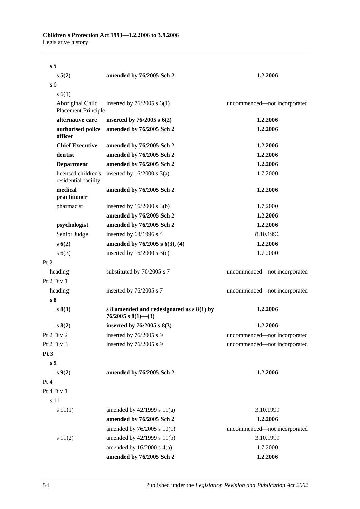| s <sub>5</sub>                              |                                                                   |                              |
|---------------------------------------------|-------------------------------------------------------------------|------------------------------|
| $s\,5(2)$                                   | amended by 76/2005 Sch 2                                          | 1.2.2006                     |
| s <sub>6</sub>                              |                                                                   |                              |
| s(6(1))                                     |                                                                   |                              |
| Aboriginal Child<br>Placement Principle     | inserted by $76/2005$ s $6(1)$                                    | uncommenced-not incorporated |
| alternative care                            | inserted by $76/2005$ s $6(2)$                                    | 1.2.2006                     |
| authorised police<br>officer                | amended by 76/2005 Sch 2                                          | 1.2.2006                     |
| <b>Chief Executive</b>                      | amended by 76/2005 Sch 2                                          | 1.2.2006                     |
| dentist                                     | amended by 76/2005 Sch 2                                          | 1.2.2006                     |
| <b>Department</b>                           | amended by 76/2005 Sch 2                                          | 1.2.2006                     |
| licensed children's<br>residential facility | inserted by $16/2000$ s $3(a)$                                    | 1.7.2000                     |
| medical<br>practitioner                     | amended by 76/2005 Sch 2                                          | 1.2.2006                     |
| pharmacist                                  | inserted by $16/2000$ s $3(b)$                                    | 1.7.2000                     |
|                                             | amended by 76/2005 Sch 2                                          | 1.2.2006                     |
| psychologist                                | amended by 76/2005 Sch 2                                          | 1.2.2006                     |
| Senior Judge                                | inserted by 68/1996 s 4                                           | 8.10.1996                    |
| s(6(2))                                     | amended by 76/2005 s 6(3), (4)                                    | 1.2.2006                     |
| s(6(3))                                     | inserted by $16/2000$ s 3(c)                                      | 1.7.2000                     |
| Pt 2                                        |                                                                   |                              |
| heading                                     | substituted by 76/2005 s 7                                        | uncommenced-not incorporated |
| Pt 2 Div 1                                  |                                                                   |                              |
| heading                                     | inserted by 76/2005 s 7                                           | uncommenced-not incorporated |
| s <sub>8</sub>                              |                                                                   |                              |
| s(1)                                        | s 8 amended and redesignated as $s(1)$ by<br>$76/2005$ s 8(1)–(3) | 1.2.2006                     |
| s(2)                                        | inserted by $76/2005$ s $8(3)$                                    | 1.2.2006                     |
| Pt $2$ Div $2$                              | inserted by 76/2005 s 9                                           | uncommenced-not incorporated |
| Pt 2 Div 3                                  | inserted by 76/2005 s 9                                           | uncommenced-not incorporated |
| Pt3                                         |                                                                   |                              |
| s <sub>9</sub>                              |                                                                   |                              |
| $s \, 9(2)$                                 | amended by 76/2005 Sch 2                                          | 1.2.2006                     |
| Pt 4                                        |                                                                   |                              |
| Pt 4 Div 1                                  |                                                                   |                              |
| s 11                                        |                                                                   |                              |
| s 11(1)                                     | amended by $42/1999$ s $11(a)$                                    | 3.10.1999                    |
|                                             | amended by 76/2005 Sch 2                                          | 1.2.2006                     |
|                                             | amended by 76/2005 s 10(1)                                        | uncommenced-not incorporated |
| s 11(2)                                     | amended by 42/1999 s 11(b)                                        | 3.10.1999                    |
|                                             | amended by $16/2000$ s $4(a)$                                     | 1.7.2000                     |
|                                             | amended by 76/2005 Sch 2                                          | 1.2.2006                     |

54 Published under the *Legislation Revision and Publication Act 2002*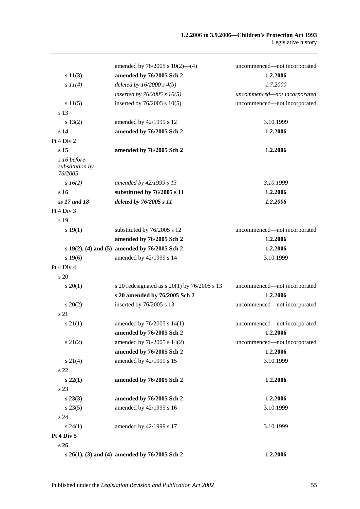|                                           | amended by $76/2005$ s $10(2)$ —(4)              | uncommenced-not incorporated |
|-------------------------------------------|--------------------------------------------------|------------------------------|
| s 11(3)                                   | amended by 76/2005 Sch 2                         | 1.2.2006                     |
| $s$ $11(4)$                               | deleted by $16/2000 s 4(b)$                      | 1.7.2000                     |
|                                           | inserted by $76/2005 s 10(5)$                    | uncommenced-not incorporated |
| s 11(5)                                   | inserted by $76/2005$ s $10(5)$                  | uncommenced-not incorporated |
| s 13                                      |                                                  |                              |
| s 13(2)                                   | amended by 42/1999 s 12                          | 3.10.1999                    |
| s 14                                      | amended by 76/2005 Sch 2                         | 1.2.2006                     |
| Pt 4 Div 2                                |                                                  |                              |
| s <sub>15</sub>                           | amended by 76/2005 Sch 2                         | 1.2.2006                     |
| s 16 before<br>substitution by<br>76/2005 |                                                  |                              |
| $s\,16(2)$                                | amended by 42/1999 s 13                          | 3.10.1999                    |
| s <sub>16</sub>                           | substituted by 76/2005 s 11                      | 1.2.2006                     |
| ss 17 and 18                              | deleted by 76/2005 s 11                          | 1.2.2006                     |
| Pt 4 Div 3                                |                                                  |                              |
| s 19                                      |                                                  |                              |
| s 19(1)                                   | substituted by 76/2005 s 12                      | uncommenced-not incorporated |
|                                           | amended by 76/2005 Sch 2                         | 1.2.2006                     |
|                                           | s 19(2), (4) and (5) amended by 76/2005 Sch 2    | 1.2.2006                     |
| s 19(6)                                   | amended by 42/1999 s 14                          | 3.10.1999                    |
| Pt 4 Div 4                                |                                                  |                              |
| s 20                                      |                                                  |                              |
| $s \, 20(1)$                              | s 20 redesignated as s $20(1)$ by $76/2005$ s 13 | uncommenced-not incorporated |
|                                           | s 20 amended by 76/2005 Sch 2                    | 1.2.2006                     |
| $s \ 20(2)$                               | inserted by 76/2005 s 13                         | uncommenced-not incorporated |
| s 21                                      |                                                  |                              |
| $s \, 21(1)$                              | amended by 76/2005 s 14(1)                       | uncommenced-not incorporated |
|                                           | amended by 76/2005 Sch 2                         | 1.2.2006                     |
| $s\,21(2)$                                | amended by 76/2005 s 14(2)                       | uncommenced-not incorporated |
|                                           | amended by 76/2005 Sch 2                         | 1.2.2006                     |
| $s \, 21(4)$                              | amended by 42/1999 s 15                          | 3.10.1999                    |
| s <sub>22</sub>                           |                                                  |                              |
| $s\,22(1)$                                | amended by 76/2005 Sch 2                         | 1.2.2006                     |
| s 23                                      |                                                  |                              |
| $s\,23(3)$                                | amended by 76/2005 Sch 2                         | 1.2.2006                     |
| $s\,23(5)$                                | amended by 42/1999 s 16                          | 3.10.1999                    |
| s 24                                      |                                                  |                              |
| $s\,24(1)$                                | amended by 42/1999 s 17                          | 3.10.1999                    |
| Pt 4 Div 5                                |                                                  |                              |
| s 26                                      |                                                  |                              |
|                                           | s 26(1), (3) and (4) amended by 76/2005 Sch 2    | 1.2.2006                     |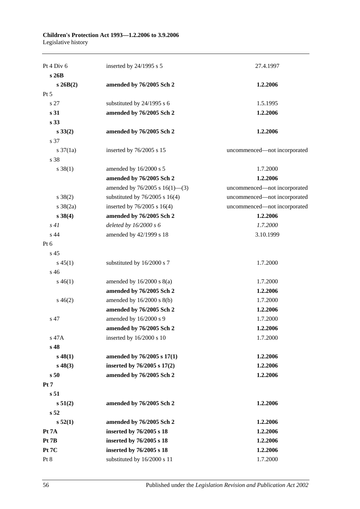| Pt 4 Div 6        | inserted by 24/1995 s 5             | 27.4.1997                    |
|-------------------|-------------------------------------|------------------------------|
| s26B              |                                     |                              |
| $s \, 26B(2)$     | amended by 76/2005 Sch 2            | 1.2.2006                     |
| Pt 5              |                                     |                              |
| s 27              | substituted by 24/1995 s 6          | 1.5.1995                     |
| s 31              | amended by 76/2005 Sch 2            | 1.2.2006                     |
| s <sub>33</sub>   |                                     |                              |
| $s\,33(2)$        | amended by 76/2005 Sch 2            | 1.2.2006                     |
| s 37              |                                     |                              |
| s $37(1a)$        | inserted by 76/2005 s 15            | uncommenced-not incorporated |
| s 38              |                                     |                              |
| $s \, 38(1)$      | amended by 16/2000 s 5              | 1.7.2000                     |
|                   | amended by 76/2005 Sch 2            | 1.2.2006                     |
|                   | amended by $76/2005$ s $16(1)$ —(3) | uncommenced-not incorporated |
| $s \ 38(2)$       | substituted by $76/2005$ s 16(4)    | uncommenced-not incorporated |
| $s \frac{38}{2a}$ | inserted by $76/2005$ s 16(4)       | uncommenced-not incorporated |
| $s\,38(4)$        | amended by 76/2005 Sch 2            | 1.2.2006                     |
| s41               | deleted by $16/2000 s 6$            | 1.7.2000                     |
| s 44              | amended by 42/1999 s 18             | 3.10.1999                    |
| Pt 6              |                                     |                              |
| s <sub>45</sub>   |                                     |                              |
| $s\,45(1)$        | substituted by 16/2000 s 7          | 1.7.2000                     |
| s <sub>46</sub>   |                                     |                              |
| $s\,46(1)$        | amended by $16/2000$ s $8(a)$       | 1.7.2000                     |
|                   | amended by 76/2005 Sch 2            | 1.2.2006                     |
| $s\,46(2)$        | amended by 16/2000 s 8(b)           | 1.7.2000                     |
|                   | amended by 76/2005 Sch 2            | 1.2.2006                     |
| s 47              | amended by 16/2000 s 9              | 1.7.2000                     |
|                   | amended by 76/2005 Sch 2            | 1.2.2006                     |
| s 47A             | inserted by $16/2000$ s 10          | 1.7.2000                     |
| s 48              |                                     |                              |
| $s\,48(1)$        | amended by 76/2005 s 17(1)          | 1.2.2006                     |
| $s\,48(3)$        | inserted by 76/2005 s 17(2)         | 1.2.2006                     |
| s50               | amended by 76/2005 Sch 2            | 1.2.2006                     |
| Pt <sub>7</sub>   |                                     |                              |
| s <sub>51</sub>   |                                     |                              |
| s 51(2)           | amended by 76/2005 Sch 2            | 1.2.2006                     |
| s 52              |                                     |                              |
| s 52(1)           | amended by 76/2005 Sch 2            | 1.2.2006                     |
| Pt 7A             | inserted by 76/2005 s 18            | 1.2.2006                     |
| Pt 7B             | inserted by 76/2005 s 18            | 1.2.2006                     |
| Pt 7C             | inserted by 76/2005 s 18            | 1.2.2006                     |
| Pt 8              | substituted by 16/2000 s 11         | 1.7.2000                     |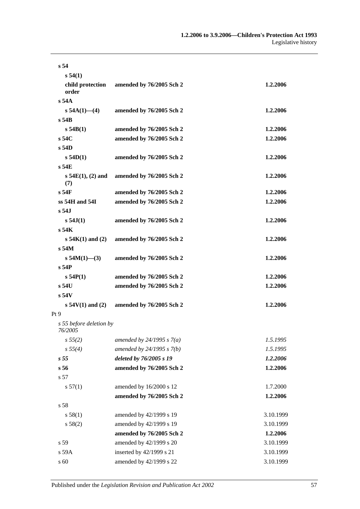| s <sub>54</sub>                    |                             |           |
|------------------------------------|-----------------------------|-----------|
| s 54(1)                            |                             |           |
| child protection<br>order          | amended by 76/2005 Sch 2    | 1.2.2006  |
| $s$ 54 $A$                         |                             |           |
| $s$ 54A(1)–(4)                     | amended by 76/2005 Sch 2    | 1.2.2006  |
| $s$ 54 $B$                         |                             |           |
| s 54B(1)                           | amended by 76/2005 Sch 2    | 1.2.2006  |
| s,54C                              | amended by 76/2005 Sch 2    | 1.2.2006  |
| $s$ 54D                            |                             |           |
| s 54D(1)                           | amended by 76/2005 Sch 2    | 1.2.2006  |
| $s$ 54E                            |                             |           |
| $s\,54E(1), (2)$ and<br>(7)        | amended by 76/2005 Sch 2    | 1.2.2006  |
| s <sub>54F</sub>                   | amended by 76/2005 Sch 2    | 1.2.2006  |
| $ss$ 54H and 54I                   | amended by 76/2005 Sch 2    | 1.2.2006  |
| $s$ 54.1                           |                             |           |
| s 54J(1)                           | amended by 76/2005 Sch 2    | 1.2.2006  |
| $s$ 54 $K$                         |                             |           |
| $s 54K(1)$ and $(2)$               | amended by 76/2005 Sch 2    | 1.2.2006  |
| $s$ 54 $M$                         |                             |           |
| s $54M(1)$ -(3)                    | amended by 76/2005 Sch 2    | 1.2.2006  |
| s <sub>54P</sub>                   |                             |           |
| s 54P(1)                           | amended by 76/2005 Sch 2    | 1.2.2006  |
| $s$ 54U                            | amended by 76/2005 Sch 2    | 1.2.2006  |
| s <sub>54V</sub>                   |                             |           |
| $s 54V(1)$ and (2)                 | amended by 76/2005 Sch 2    | 1.2.2006  |
| Pt <sub>9</sub>                    |                             |           |
| s 55 before deletion by<br>76/2005 |                             |           |
| s 55(2)                            | amended by $24/1995 s 7(a)$ | 1.5.1995  |
| s 55(4)                            | amended by 24/1995 s 7(b)   | 1.5.1995  |
| s <sub>55</sub>                    | deleted by 76/2005 s 19     | 1.2.2006  |
| s 56                               | amended by 76/2005 Sch 2    | 1.2.2006  |
| s 57                               |                             |           |
| s 57(1)                            | amended by 16/2000 s 12     | 1.7.2000  |
|                                    | amended by 76/2005 Sch 2    | 1.2.2006  |
| s 58                               |                             |           |
| s 58(1)                            | amended by 42/1999 s 19     | 3.10.1999 |
| s 58(2)                            | amended by 42/1999 s 19     | 3.10.1999 |
|                                    | amended by 76/2005 Sch 2    | 1.2.2006  |
| s 59                               | amended by 42/1999 s 20     | 3.10.1999 |
| s 59A                              | inserted by 42/1999 s 21    | 3.10.1999 |
| s 60                               | amended by 42/1999 s 22     | 3.10.1999 |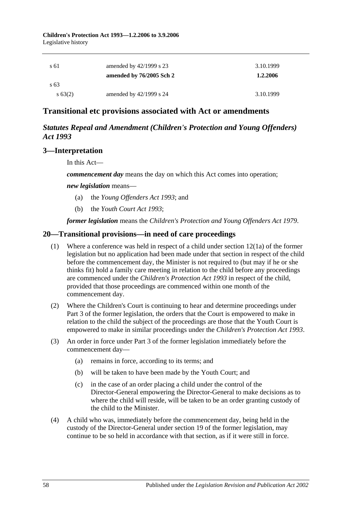**Children's Protection Act 1993—1.2.2006 to 3.9.2006** Legislative history

| s 61                      | amended by $42/1999$ s 23<br>amended by 76/2005 Sch 2 | 3.10.1999<br>1.2.2006 |
|---------------------------|-------------------------------------------------------|-----------------------|
| $\sqrt{63}$<br>$s\,63(2)$ | amended by $42/1999$ s 24                             | 3.10.1999             |

## **Transitional etc provisions associated with Act or amendments**

## *Statutes Repeal and Amendment (Children's Protection and Young Offenders) Act 1993*

## **3—Interpretation**

In this Act—

*commencement day* means the day on which this Act comes into operation;

*new legislation* means—

- (a) the *[Young Offenders Act](http://www.legislation.sa.gov.au/index.aspx?action=legref&type=act&legtitle=Young%20Offenders%20Act%201993) 1993*; and
- (b) the *[Youth Court Act](http://www.legislation.sa.gov.au/index.aspx?action=legref&type=act&legtitle=Youth%20Court%20Act%201993) 1993*;

*former legislation* means the *[Children's Protection and Young Offenders Act](http://www.legislation.sa.gov.au/index.aspx?action=legref&type=act&legtitle=Childrens%20Protection%20and%20Young%20Offenders%20Act%201979) 1979*.

## **20—Transitional provisions—in need of care proceedings**

- (1) Where a conference was held in respect of a child under section 12(1a) of the former legislation but no application had been made under that section in respect of the child before the commencement day, the Minister is not required to (but may if he or she thinks fit) hold a family care meeting in relation to the child before any proceedings are commenced under the *[Children's Protection Act](http://www.legislation.sa.gov.au/index.aspx?action=legref&type=act&legtitle=Childrens%20Protection%20Act%201993) 1993* in respect of the child, provided that those proceedings are commenced within one month of the commencement day.
- (2) Where the Children's Court is continuing to hear and determine proceedings under Part 3 of the former legislation, the orders that the Court is empowered to make in relation to the child the subject of the proceedings are those that the Youth Court is empowered to make in similar proceedings under the *[Children's Protection Act](http://www.legislation.sa.gov.au/index.aspx?action=legref&type=act&legtitle=Childrens%20Protection%20Act%201993) 1993*.
- (3) An order in force under Part 3 of the former legislation immediately before the commencement day—
	- (a) remains in force, according to its terms; and
	- (b) will be taken to have been made by the Youth Court; and
	- (c) in the case of an order placing a child under the control of the Director-General empowering the Director-General to make decisions as to where the child will reside, will be taken to be an order granting custody of the child to the Minister.
- (4) A child who was, immediately before the commencement day, being held in the custody of the Director-General under section 19 of the former legislation, may continue to be so held in accordance with that section, as if it were still in force.